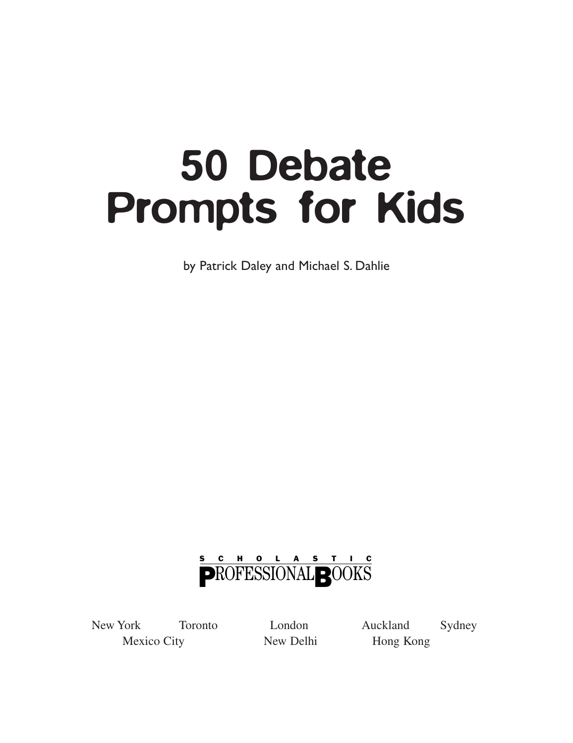## 50 Debate Prompts for Kids

by Patrick Daley and Michael S. Dahlie



Mexico City New Delhi Hong Kong

New York Toronto London Auckland Sydney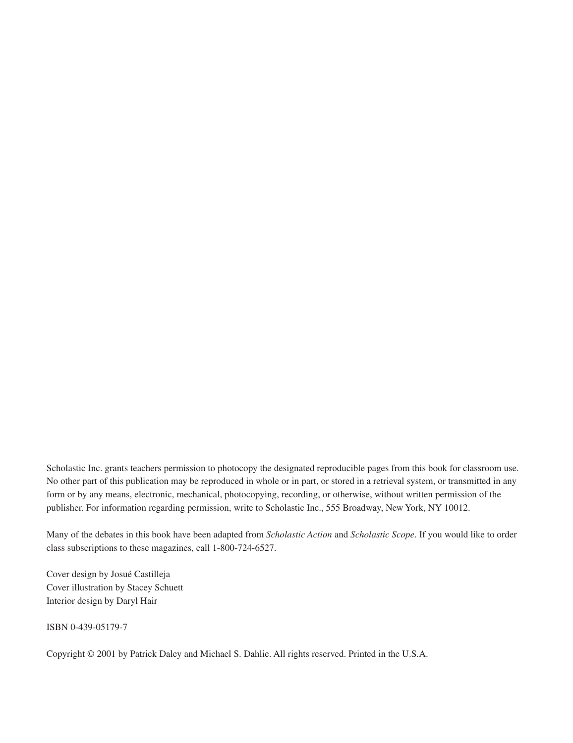Scholastic Inc. grants teachers permission to photocopy the designated reproducible pages from this book for classroom use. No other part of this publication may be reproduced in whole or in part, or stored in a retrieval system, or transmitted in any form or by any means, electronic, mechanical, photocopying, recording, or otherwise, without written permission of the publisher. For information regarding permission, write to Scholastic Inc., 555 Broadway, New York, NY 10012.

Many of the debates in this book have been adapted from *Scholastic Action* and *Scholastic Scope*. If you would like to order class subscriptions to these magazines, call 1-800-724-6527.

Cover design by Josué Castilleja Cover illustration by Stacey Schuett Interior design by Daryl Hair

ISBN 0-439-05179-7

Copyright © 2001 by Patrick Daley and Michael S. Dahlie. All rights reserved. Printed in the U.S.A.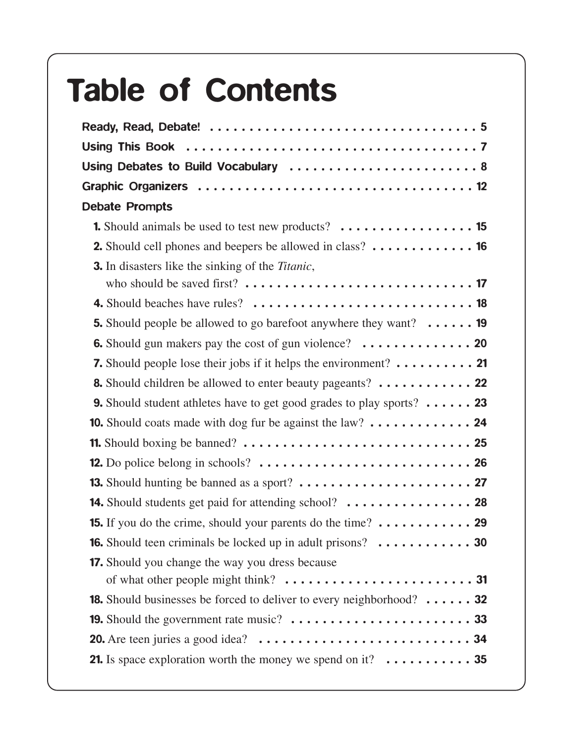## Table of Contents

| Using Debates to Build Vocabulary  8                                                                |
|-----------------------------------------------------------------------------------------------------|
|                                                                                                     |
| <b>Debate Prompts</b>                                                                               |
|                                                                                                     |
| <b>2.</b> Should cell phones and beepers be allowed in class? $\dots \dots \dots \dots \dots \dots$ |
| <b>3.</b> In disasters like the sinking of the <i>Titanic</i> ,                                     |
|                                                                                                     |
|                                                                                                     |
| <b>5.</b> Should people be allowed to go barefoot anywhere they want? $\dots$ . <b>19</b>           |
| <b>6.</b> Should gun makers pay the cost of gun violence? 20                                        |
| <b>7.</b> Should people lose their jobs if it helps the environment? $\dots \dots \dots$            |
| <b>8.</b> Should children be allowed to enter beauty pageants? 22                                   |
| <b>9.</b> Should student athletes have to get good grades to play sports? $\dots$ . 23              |
| <b>10.</b> Should coats made with dog fur be against the law? $\dots \dots \dots \dots 24$          |
|                                                                                                     |
|                                                                                                     |
|                                                                                                     |
|                                                                                                     |
| <b>15.</b> If you do the crime, should your parents do the time? $\dots \dots \dots \dots$ 29       |
| <b>16.</b> Should teen criminals be locked up in adult prisons? $\dots \dots \dots \dots$           |
| <b>17.</b> Should you change the way you dress because                                              |
|                                                                                                     |
| <b>18.</b> Should businesses be forced to deliver to every neighborhood? $\dots \dots$ <b>32</b>    |
| <b>19.</b> Should the government rate music? $\ldots \ldots \ldots \ldots \ldots \ldots \ldots$     |
|                                                                                                     |
| <b>21.</b> Is space exploration worth the money we spend on it? $\dots \dots \dots \dots$           |
|                                                                                                     |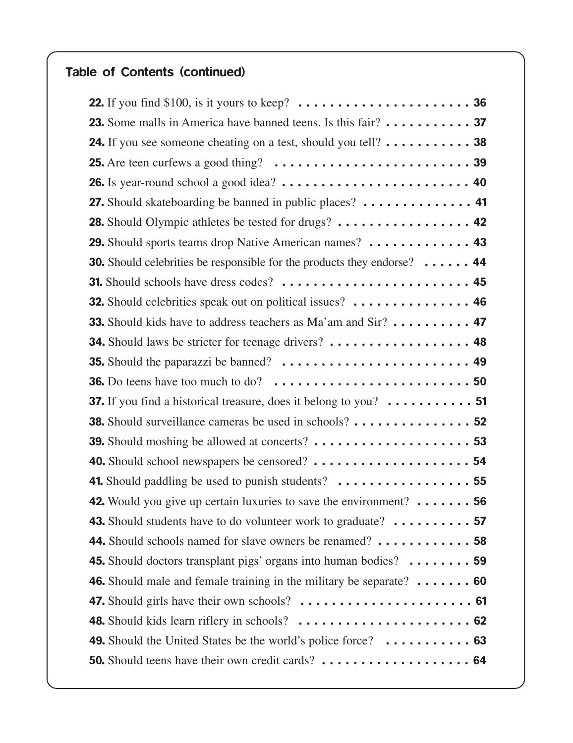#### Table of Contents (continued)

| 23. Some malls in America have banned teens. Is this fair? 37                          |
|----------------------------------------------------------------------------------------|
| 24. If you see someone cheating on a test, should you tell? 38                         |
|                                                                                        |
| 26. Is year-round school a good idea?  40                                              |
| 27. Should skateboarding be banned in public places?  41                               |
| 28. Should Olympic athletes be tested for drugs?  42                                   |
| 29. Should sports teams drop Native American names?  43                                |
| <b>30.</b> Should celebrities be responsible for the products they endorse? 44         |
| 31. Should schools have dress codes?  45                                               |
| 32. Should celebrities speak out on political issues?  46                              |
| 33. Should kids have to address teachers as Ma'am and Sir? 47                          |
| 34. Should laws be stricter for teenage drivers?  48                                   |
| 35. Should the paparazzi be banned? $\ldots \ldots \ldots \ldots \ldots \ldots \ldots$ |
|                                                                                        |
| 37. If you find a historical treasure, does it belong to you?  51                      |
| 38. Should surveillance cameras be used in schools? 52                                 |
|                                                                                        |
|                                                                                        |
|                                                                                        |
| 42. Would you give up certain luxuries to save the environment? 56                     |
| 43. Should students have to do volunteer work to graduate?  57                         |
| <b>44.</b> Should schools named for slave owners be renamed? 58                        |
| 45. Should doctors transplant pigs' organs into human bodies?  59                      |
| 46. Should male and female training in the military be separate?  60                   |
|                                                                                        |
| 48. Should kids learn riflery in schools?  62                                          |
| 49. Should the United States be the world's police force?  63                          |
| 50. Should teens have their own credit cards? 64                                       |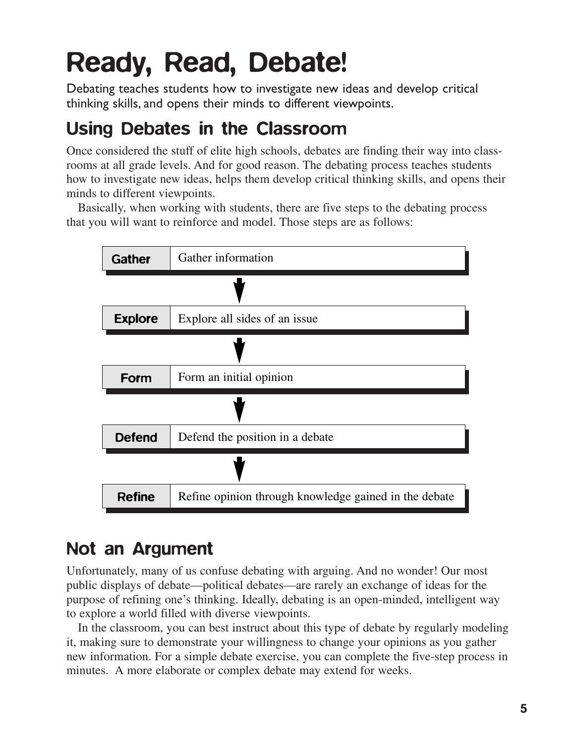## Ready, Read, Debate!

Debating teaches students how to investigate new ideas and develop critical thinking skills, and opens their minds to different viewpoints.

#### Using Debates in the Classroom

Once considered the stuff of elite high schools, debates are finding their way into classrooms at all grade levels. And for good reason. The debating process teaches students how to investigate new ideas, helps them develop critical thinking skills, and opens their minds to different viewpoints.

Basically, when working with students, there are five steps to the debating process that you will want to reinforce and model. Those steps are as follows:



#### Not an Argument

Unfortunately, many of us confuse debating with arguing. And no wonder! Our most public displays of debate—political debates—are rarely an exchange of ideas for the purpose of refining one's thinking. Ideally, debating is an open-minded, intelligent way to explore a world filled with diverse viewpoints.

In the classroom, you can best instruct about this type of debate by regularly modeling it, making sure to demonstrate your willingness to change your opinions as you gather new information. For a simple debate exercise, you can complete the five-step process in minutes. A more elaborate or complex debate may extend for weeks.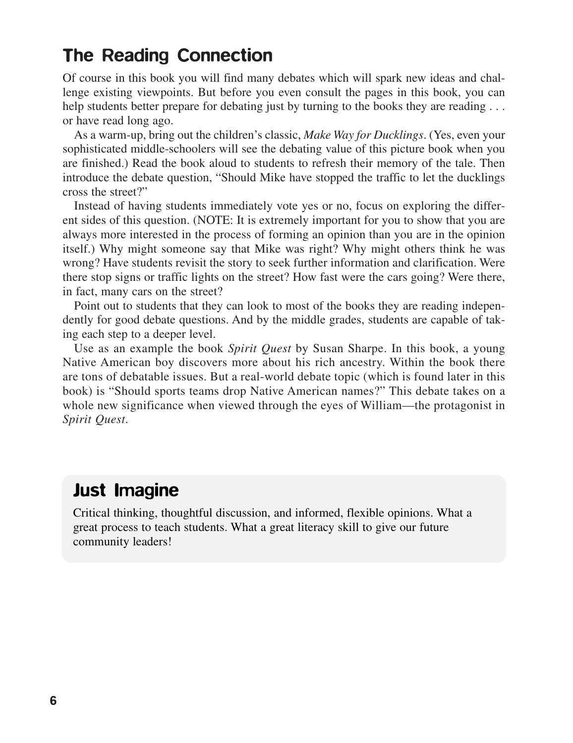#### The Reading Connection

Of course in this book you will find many debates which will spark new ideas and challenge existing viewpoints. But before you even consult the pages in this book, you can help students better prepare for debating just by turning to the books they are reading ... or have read long ago.

As a warm-up, bring out the children's classic, *Make Way for Ducklings*. (Yes, even your sophisticated middle-schoolers will see the debating value of this picture book when you are finished.) Read the book aloud to students to refresh their memory of the tale. Then introduce the debate question, "Should Mike have stopped the traffic to let the ducklings cross the street?"

Instead of having students immediately vote yes or no, focus on exploring the different sides of this question. (NOTE: It is extremely important for you to show that you are always more interested in the process of forming an opinion than you are in the opinion itself.) Why might someone say that Mike was right? Why might others think he was wrong? Have students revisit the story to seek further information and clarification. Were there stop signs or traffic lights on the street? How fast were the cars going? Were there, in fact, many cars on the street?

Point out to students that they can look to most of the books they are reading independently for good debate questions. And by the middle grades, students are capable of taking each step to a deeper level.

Use as an example the book *Spirit Quest* by Susan Sharpe. In this book, a young Native American boy discovers more about his rich ancestry. Within the book there are tons of debatable issues. But a real-world debate topic (which is found later in this book) is "Should sports teams drop Native American names?" This debate takes on a whole new significance when viewed through the eyes of William—the protagonist in *Spirit Quest*.

#### Just Imagine

Critical thinking, thoughtful discussion, and informed, flexible opinions. What a great process to teach students. What a great literacy skill to give our future community leaders!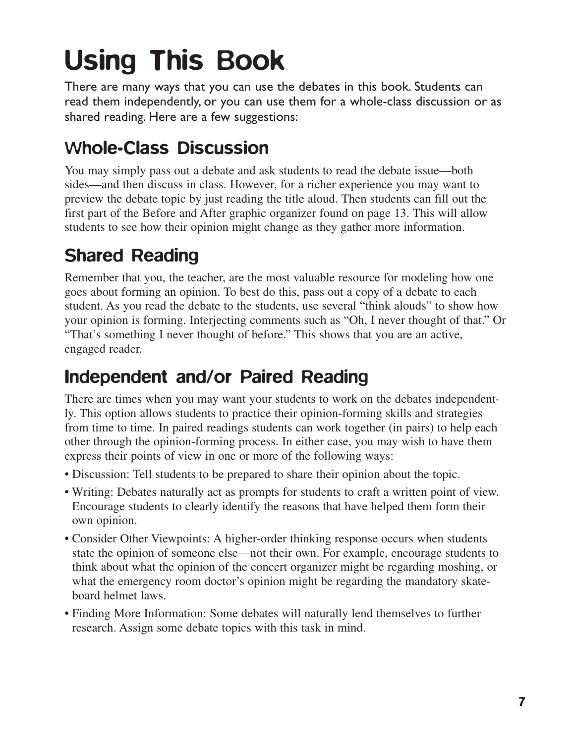## Using This Book

There are many ways that you can use the debates in this book. Students can read them independently, or you can use them for a whole-class discussion or as shared reading. Here are a few suggestions:

#### Whole-Class Discussion

You may simply pass out a debate and ask students to read the debate issue—both sides—and then discuss in class. However, for a richer experience you may want to preview the debate topic by just reading the title aloud. Then students can fill out the first part of the Before and After graphic organizer found on page 13. This will allow students to see how their opinion might change as they gather more information.

#### Shared Reading

Remember that you, the teacher, are the most valuable resource for modeling how one goes about forming an opinion. To best do this, pass out a copy of a debate to each student. As you read the debate to the students, use several "think alouds" to show how your opinion is forming. Interjecting comments such as "Oh, I never thought of that." Or "That's something I never thought of before." This shows that you are an active, engaged reader.

#### Independent and/or Paired Reading

There are times when you may want your students to work on the debates independently. This option allows students to practice their opinion-forming skills and strategies from time to time. In paired readings students can work together (in pairs) to help each other through the opinion-forming process. In either case, you may wish to have them express their points of view in one or more of the following ways:

- Discussion: Tell students to be prepared to share their opinion about the topic.
- Writing: Debates naturally act as prompts for students to craft a written point of view. Encourage students to clearly identify the reasons that have helped them form their own opinion.
- Consider Other Viewpoints: A higher-order thinking response occurs when students state the opinion of someone else—not their own. For example, encourage students to think about what the opinion of the concert organizer might be regarding moshing, or what the emergency room doctor's opinion might be regarding the mandatory skateboard helmet laws.
- Finding More Information: Some debates will naturally lend themselves to further research. Assign some debate topics with this task in mind.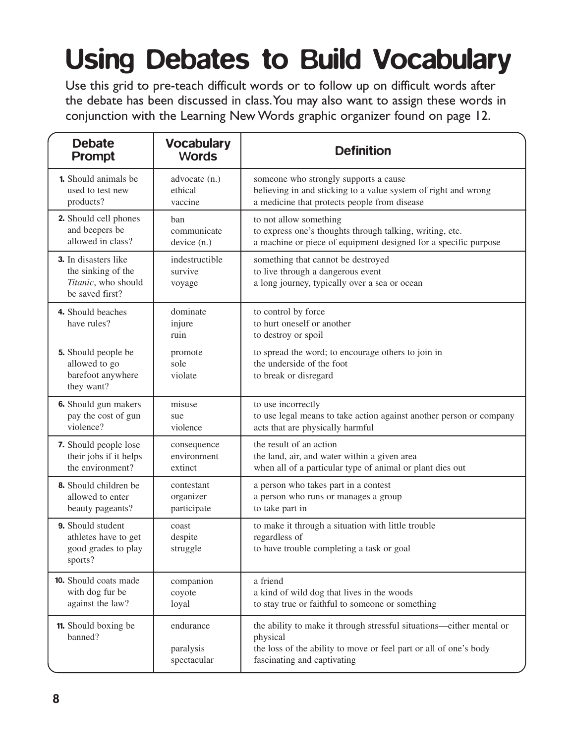## Using Debates to Build Vocabulary

Use this grid to pre-teach difficult words or to follow up on difficult words after the debate has been discussed in class.You may also want to assign these words in conjunction with the Learning New Words graphic organizer found on page 12.

| <b>Debate</b><br><b>Prompt</b>                                                       | <b>Vocabulary</b><br><b>Words</b>     | <b>Definition</b>                                                                                                                                                                    |
|--------------------------------------------------------------------------------------|---------------------------------------|--------------------------------------------------------------------------------------------------------------------------------------------------------------------------------------|
| <b>1.</b> Should animals be                                                          | advocate (n.)                         | someone who strongly supports a cause                                                                                                                                                |
| used to test new                                                                     | ethical                               | believing in and sticking to a value system of right and wrong                                                                                                                       |
| products?                                                                            | vaccine                               | a medicine that protects people from disease                                                                                                                                         |
| 2. Should cell phones                                                                | ban                                   | to not allow something                                                                                                                                                               |
| and beepers be                                                                       | communicate                           | to express one's thoughts through talking, writing, etc.                                                                                                                             |
| allowed in class?                                                                    | device (n.)                           | a machine or piece of equipment designed for a specific purpose                                                                                                                      |
| 3. In disasters like<br>the sinking of the<br>Titanic, who should<br>be saved first? | indestructible<br>survive<br>voyage   | something that cannot be destroyed<br>to live through a dangerous event<br>a long journey, typically over a sea or ocean                                                             |
| 4. Should beaches<br>have rules?                                                     | dominate<br>injure<br>ruin            | to control by force<br>to hurt oneself or another<br>to destroy or spoil                                                                                                             |
| 5. Should people be<br>allowed to go<br>barefoot anywhere<br>they want?              | promote<br>sole<br>violate            | to spread the word; to encourage others to join in<br>the underside of the foot<br>to break or disregard                                                                             |
| 6. Should gun makers                                                                 | misuse                                | to use incorrectly                                                                                                                                                                   |
| pay the cost of gun                                                                  | sue                                   | to use legal means to take action against another person or company                                                                                                                  |
| violence?                                                                            | violence                              | acts that are physically harmful                                                                                                                                                     |
| 7. Should people lose                                                                | consequence                           | the result of an action                                                                                                                                                              |
| their jobs if it helps                                                               | environment                           | the land, air, and water within a given area                                                                                                                                         |
| the environment?                                                                     | extinct                               | when all of a particular type of animal or plant dies out                                                                                                                            |
| 8. Should children be                                                                | contestant                            | a person who takes part in a contest                                                                                                                                                 |
| allowed to enter                                                                     | organizer                             | a person who runs or manages a group                                                                                                                                                 |
| beauty pageants?                                                                     | participate                           | to take part in                                                                                                                                                                      |
| 9. Should student<br>athletes have to get<br>good grades to play<br>sports?          | coast<br>despite<br>struggle          | to make it through a situation with little trouble<br>regardless of<br>to have trouble completing a task or goal                                                                     |
| 10. Should coats made                                                                | companion                             | a friend                                                                                                                                                                             |
| with dog fur be                                                                      | coyote                                | a kind of wild dog that lives in the woods                                                                                                                                           |
| against the law?                                                                     | loyal                                 | to stay true or faithful to someone or something                                                                                                                                     |
| 11. Should boxing be<br>banned?                                                      | endurance<br>paralysis<br>spectacular | the ability to make it through stressful situations-either mental or<br>physical<br>the loss of the ability to move or feel part or all of one's body<br>fascinating and captivating |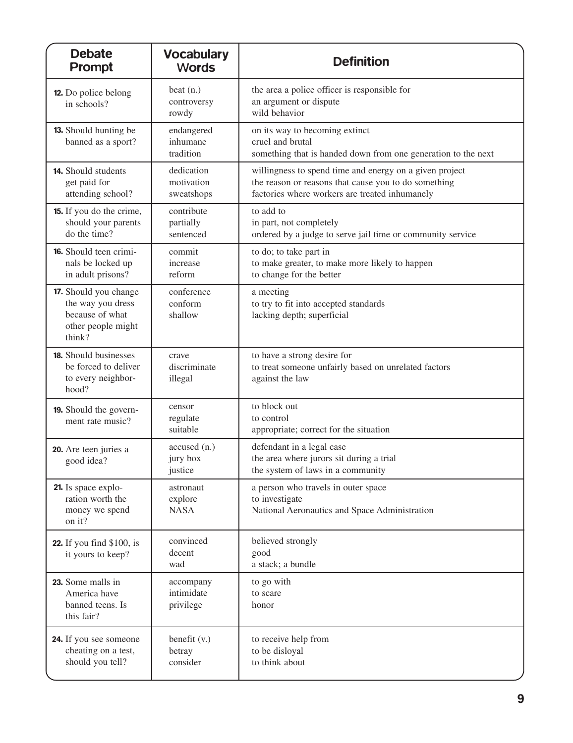| <b>Debate</b><br><b>Prompt</b>                                                                | <b>Vocabulary</b><br><b>Words</b>      | <b>Definition</b>                                                                                                                                                 |  |
|-----------------------------------------------------------------------------------------------|----------------------------------------|-------------------------------------------------------------------------------------------------------------------------------------------------------------------|--|
| 12. Do police belong<br>in schools?                                                           | beat $(n.)$<br>controversy<br>rowdy    | the area a police officer is responsible for<br>an argument or dispute<br>wild behavior                                                                           |  |
| <b>13.</b> Should hunting be<br>banned as a sport?                                            | endangered<br>inhumane<br>tradition    | on its way to becoming extinct<br>cruel and brutal<br>something that is handed down from one generation to the next                                               |  |
| <b>14.</b> Should students<br>get paid for<br>attending school?                               | dedication<br>motivation<br>sweatshops | willingness to spend time and energy on a given project<br>the reason or reasons that cause you to do something<br>factories where workers are treated inhumanely |  |
| 15. If you do the crime,<br>should your parents<br>do the time?                               | contribute<br>partially<br>sentenced   | to add to<br>in part, not completely<br>ordered by a judge to serve jail time or community service                                                                |  |
| <b>16.</b> Should teen crimi-<br>nals be locked up<br>in adult prisons?                       | commit<br>increase<br>reform           | to do; to take part in<br>to make greater, to make more likely to happen<br>to change for the better                                                              |  |
| 17. Should you change<br>the way you dress<br>because of what<br>other people might<br>think? | conference<br>conform<br>shallow       | a meeting<br>to try to fit into accepted standards<br>lacking depth; superficial                                                                                  |  |
| <b>18.</b> Should businesses<br>be forced to deliver<br>to every neighbor-<br>hood?           | crave<br>discriminate<br>illegal       | to have a strong desire for<br>to treat someone unfairly based on unrelated factors<br>against the law                                                            |  |
| <b>19.</b> Should the govern-<br>ment rate music?                                             | censor<br>regulate<br>suitable         | to block out<br>to control<br>appropriate; correct for the situation                                                                                              |  |
| 20. Are teen juries a<br>good idea?                                                           | accused (n.)<br>jury box<br>justice    | defendant in a legal case<br>the area where jurors sit during a trial<br>the system of laws in a community                                                        |  |
| 21. Is space explo-<br>ration worth the<br>money we spend<br>on it?                           | astronaut<br>explore<br><b>NASA</b>    | a person who travels in outer space<br>to investigate<br>National Aeronautics and Space Administration                                                            |  |
| <b>22.</b> If you find \$100, is<br>it yours to keep?                                         | convinced<br>decent<br>wad             | believed strongly<br>good<br>a stack; a bundle                                                                                                                    |  |
| 23. Some malls in<br>America have<br>banned teens. Is<br>this fair?                           | accompany<br>intimidate<br>privilege   | to go with<br>to scare<br>honor                                                                                                                                   |  |
| 24. If you see someone<br>cheating on a test,<br>should you tell?                             | benefit $(v.)$<br>betray<br>consider   | to receive help from<br>to be disloyal<br>to think about                                                                                                          |  |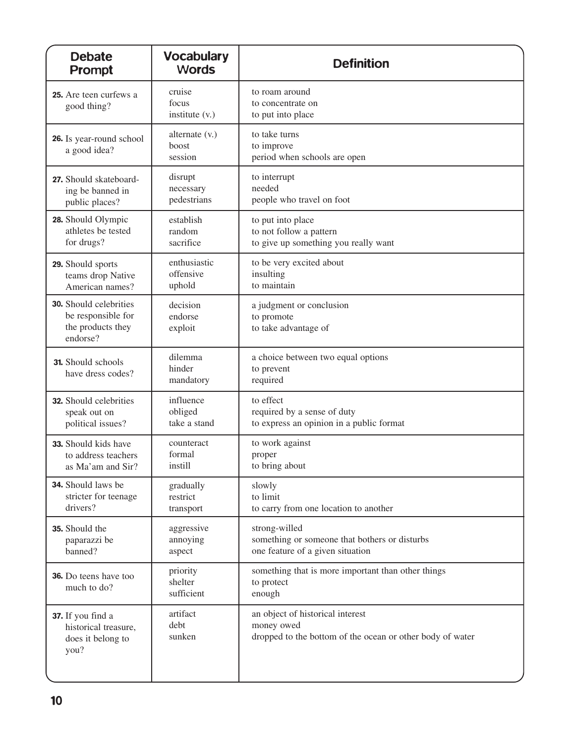| <b>Debate</b><br><b>Prompt</b>                                                       | <b>Vocabulary</b><br><b>Words</b>    | <b>Definition</b>                                                                                           |
|--------------------------------------------------------------------------------------|--------------------------------------|-------------------------------------------------------------------------------------------------------------|
| 25. Are teen curfews a<br>good thing?                                                | cruise<br>focus<br>institute (v.)    | to roam around<br>to concentrate on<br>to put into place                                                    |
| 26. Is year-round school<br>a good idea?                                             | alternate $(v.)$<br>boost<br>session | to take turns<br>to improve<br>period when schools are open                                                 |
| 27. Should skateboard-                                                               | disrupt                              | to interrupt                                                                                                |
| ing be banned in                                                                     | necessary                            | needed                                                                                                      |
| public places?                                                                       | pedestrians                          | people who travel on foot                                                                                   |
| 28. Should Olympic                                                                   | establish                            | to put into place                                                                                           |
| athletes be tested                                                                   | random                               | to not follow a pattern                                                                                     |
| for drugs?                                                                           | sacrifice                            | to give up something you really want                                                                        |
| 29. Should sports                                                                    | enthusiastic                         | to be very excited about                                                                                    |
| teams drop Native                                                                    | offensive                            | insulting                                                                                                   |
| American names?                                                                      | uphold                               | to maintain                                                                                                 |
| <b>30.</b> Should celebrities<br>be responsible for<br>the products they<br>endorse? | decision<br>endorse<br>exploit       | a judgment or conclusion<br>to promote<br>to take advantage of                                              |
| 31. Should schools<br>have dress codes?                                              | dilemma<br>hinder<br>mandatory       | a choice between two equal options<br>to prevent<br>required                                                |
| 32. Should celebrities                                                               | influence                            | to effect                                                                                                   |
| speak out on                                                                         | obliged                              | required by a sense of duty                                                                                 |
| political issues?                                                                    | take a stand                         | to express an opinion in a public format                                                                    |
| 33. Should kids have                                                                 | counteract                           | to work against                                                                                             |
| to address teachers                                                                  | formal                               | proper                                                                                                      |
| as Ma'am and Sir?                                                                    | instill                              | to bring about                                                                                              |
| 34. Should laws be                                                                   | gradually                            | slowly                                                                                                      |
| stricter for teenage                                                                 | restrict                             | to limit                                                                                                    |
| drivers?                                                                             | transport                            | to carry from one location to another                                                                       |
| 35. Should the                                                                       | aggressive                           | strong-willed                                                                                               |
| paparazzi be                                                                         | annoying                             | something or someone that bothers or disturbs                                                               |
| banned?                                                                              | aspect                               | one feature of a given situation                                                                            |
| <b>36.</b> Do teens have too<br>much to do?                                          | priority<br>shelter<br>sufficient    | something that is more important than other things<br>to protect<br>enough                                  |
| 37. If you find a<br>historical treasure,<br>does it belong to<br>you?               | artifact<br>debt<br>sunken           | an object of historical interest<br>money owed<br>dropped to the bottom of the ocean or other body of water |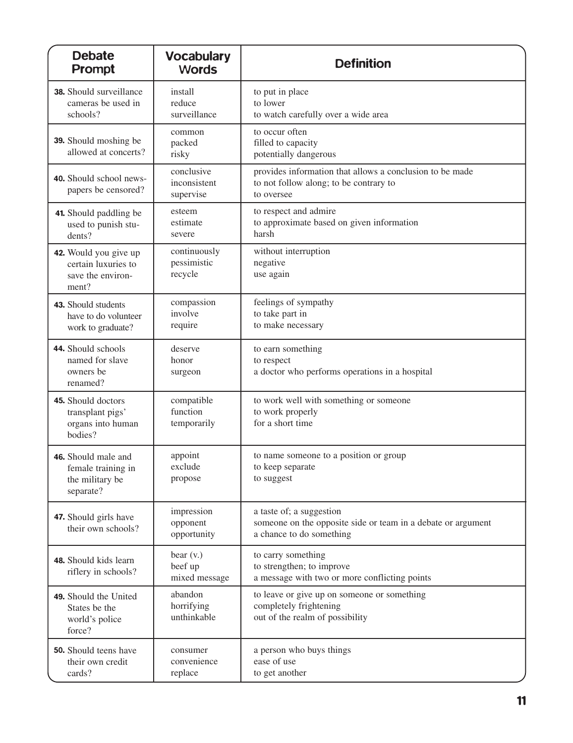| <b>Debate</b><br><b>Prompt</b>                                                   | <b>Vocabulary</b><br><b>Words</b>             | <b>Definition</b>                                                                                                    |
|----------------------------------------------------------------------------------|-----------------------------------------------|----------------------------------------------------------------------------------------------------------------------|
| 38. Should surveillance<br>cameras be used in<br>schools?                        | install<br>reduce<br>surveillance             | to put in place<br>to lower<br>to watch carefully over a wide area                                                   |
| 39. Should moshing be<br>allowed at concerts?                                    | common<br>packed<br>risky                     | to occur often<br>filled to capacity<br>potentially dangerous                                                        |
| <b>40.</b> Should school news-<br>papers be censored?                            | conclusive<br>inconsistent<br>supervise       | provides information that allows a conclusion to be made<br>to not follow along; to be contrary to<br>to oversee     |
| 41. Should paddling be<br>used to punish stu-<br>dents?                          | esteem<br>estimate<br>severe                  | to respect and admire<br>to approximate based on given information<br>harsh                                          |
| 42. Would you give up<br>certain luxuries to<br>save the environ-<br>ment?       | continuously<br>pessimistic<br>recycle        | without interruption<br>negative<br>use again                                                                        |
| 43. Should students<br>have to do volunteer<br>work to graduate?                 | compassion<br>involve<br>require              | feelings of sympathy<br>to take part in<br>to make necessary                                                         |
| 44. Should schools<br>named for slave<br>owners be<br>renamed?                   | deserve<br>honor<br>surgeon                   | to earn something<br>to respect<br>a doctor who performs operations in a hospital                                    |
| 45. Should doctors<br>transplant pigs'<br>organs into human<br>bodies?           | compatible<br>function<br>temporarily         | to work well with something or someone<br>to work properly<br>for a short time                                       |
| <b>46.</b> Should male and<br>female training in<br>the military be<br>separate? | appoint<br>exclude<br>propose                 | to name someone to a position or group<br>to keep separate<br>to suggest                                             |
| 47. Should girls have<br>their own schools?                                      | impression<br>opponent<br>opportunity         | a taste of; a suggestion<br>someone on the opposite side or team in a debate or argument<br>a chance to do something |
| 48. Should kids learn<br>riflery in schools?                                     | $\text{bear}(v.)$<br>beef up<br>mixed message | to carry something<br>to strengthen; to improve<br>a message with two or more conflicting points                     |
| 49. Should the United<br>States be the<br>world's police<br>force?               | abandon<br>horrifying<br>unthinkable          | to leave or give up on someone or something<br>completely frightening<br>out of the realm of possibility             |
| <b>50.</b> Should teens have<br>their own credit<br>cards?                       | consumer<br>convenience<br>replace            | a person who buys things<br>ease of use<br>to get another                                                            |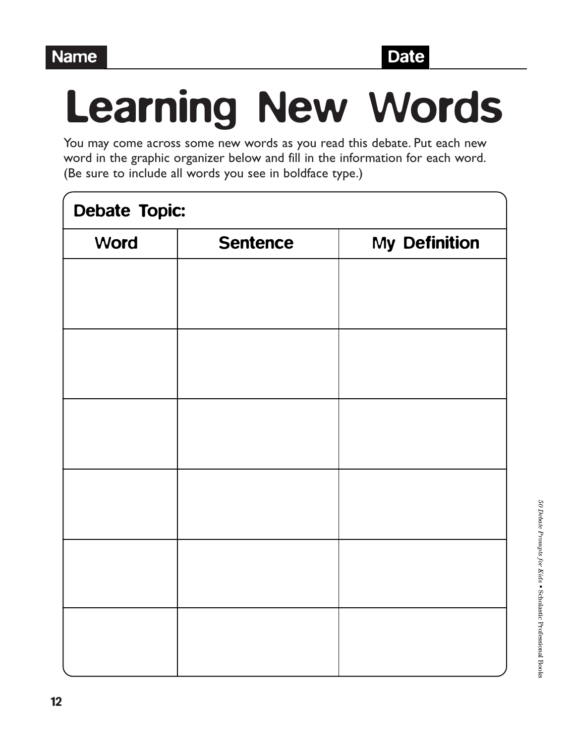## Learning New Words

You may come across some new words as you read this debate. Put each new word in the graphic organizer below and fill in the information for each word. (Be sure to include all words you see in boldface type.)

| <b>Debate Topic:</b> |                 |               |  |
|----------------------|-----------------|---------------|--|
| <b>Word</b>          | <b>Sentence</b> | My Definition |  |
|                      |                 |               |  |
|                      |                 |               |  |
|                      |                 |               |  |
|                      |                 |               |  |
|                      |                 |               |  |
|                      |                 |               |  |
|                      |                 |               |  |
|                      |                 |               |  |
|                      |                 |               |  |
|                      |                 |               |  |
|                      |                 |               |  |
|                      |                 |               |  |
|                      |                 |               |  |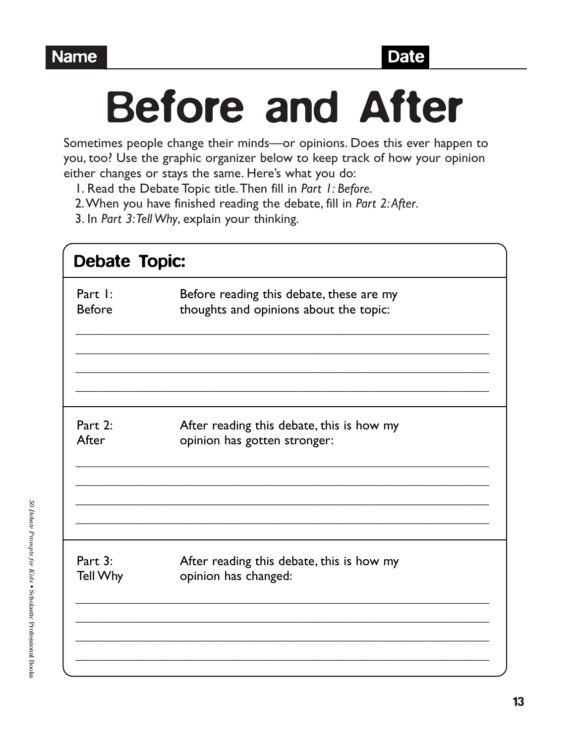#### Name Date and Date Date

## Before and After

Sometimes people change their minds—or opinions. Does this ever happen to you, too? Use the graphic organizer below to keep track of how your opinion either changes or stays the same. Here's what you do:

1. Read the Debate Topic title.Then fill in *Part 1: Before*.

2.When you have finished reading the debate, fill in *Part 2:After*.

3. In *Part 3:Tell Why*, explain your thinking.

| <b>Debate Topic:</b>     |                                                                                    |  |
|--------------------------|------------------------------------------------------------------------------------|--|
| Part I:<br><b>Before</b> | Before reading this debate, these are my<br>thoughts and opinions about the topic: |  |
| Part 2:<br>After         | After reading this debate, this is how my<br>opinion has gotten stronger:          |  |
| Part 3:<br>Tell Why      | After reading this debate, this is how my<br>opinion has changed:                  |  |
|                          |                                                                                    |  |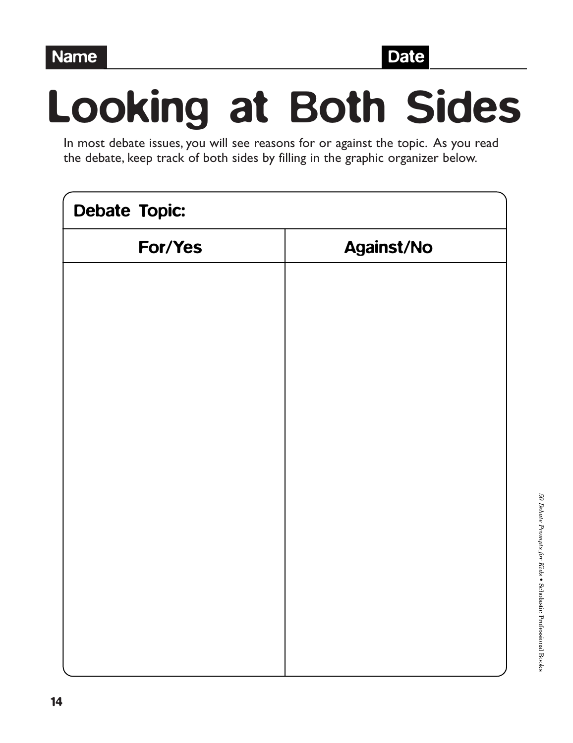# Looking at Both Sides

In most debate issues, you will see reasons for or against the topic. As you read the debate, keep track of both sides by filling in the graphic organizer below.

| <b>Debate Topic:</b> |                   |
|----------------------|-------------------|
| For/Yes              | <b>Against/No</b> |
|                      |                   |
|                      |                   |
|                      |                   |
|                      |                   |
|                      |                   |
|                      |                   |
|                      |                   |
|                      |                   |
|                      |                   |
|                      |                   |
|                      |                   |
|                      |                   |
|                      |                   |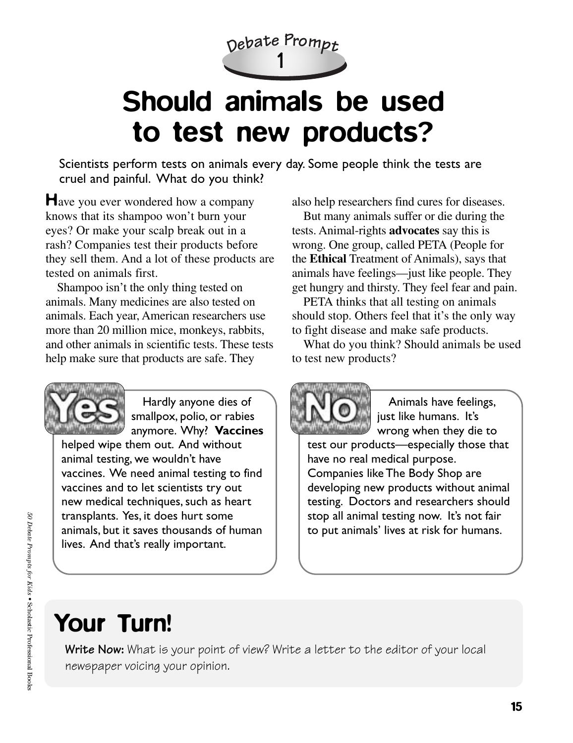

#### Should animals be used to test new products?

Scientists perform tests on animals every day. Some people think the tests are cruel and painful. What do you think?

 $\mathsf{H}$ ave you ever wondered how a company knows that its shampoo won't burn your eyes? Or make your scalp break out in a rash? Companies test their products before they sell them. And a lot of these products are tested on animals first.

Shampoo isn't the only thing tested on animals. Many medicines are also tested on animals. Each year, American researchers use more than 20 million mice, monkeys, rabbits, and other animals in scientific tests. These tests help make sure that products are safe. They



Hardly anyone dies of smallpox, polio, or rabies anymore. Why? **Vaccines**

helped wipe them out. And without animal testing, we wouldn't have vaccines. We need animal testing to find vaccines and to let scientists try out new medical techniques, such as heart transplants. Yes, it does hurt some animals, but it saves thousands of human lives. And that's really important.

also help researchers find cures for diseases.

But many animals suffer or die during the tests. Animal-rights **advocates** say this is wrong. One group, called PETA (People for the **Ethical** Treatment of Animals), says that animals have feelings—just like people. They get hungry and thirsty. They feel fear and pain.

PETA thinks that all testing on animals should stop. Others feel that it's the only way to fight disease and make safe products.

What do you think? Should animals be used to test new products?



Animals have feelings, just like humans. It's wrong when they die to

test our products—especially those that have no real medical purpose. Companies like The Body Shop are developing new products without animal testing. Doctors and researchers should stop all animal testing now. It's not fair to put animals' lives at risk for humans.

#### Your Turn!

**Write Now:** What is your point of view? Write a letter to the editor of your local newspaper voicing your opinion.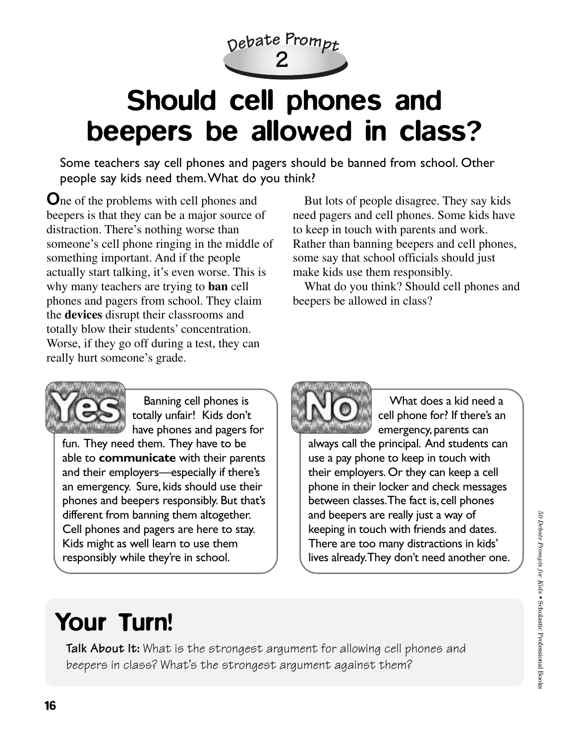

#### Should cell phones and beepers be allowed in class?

Some teachers say cell phones and pagers should be banned from school. Other people say kids need them.What do you think?

One of the problems with cell phones and beepers is that they can be a major source of distraction. There's nothing worse than someone's cell phone ringing in the middle of something important. And if the people actually start talking, it's even worse. This is why many teachers are trying to **ban** cell phones and pagers from school. They claim the **devices** disrupt their classrooms and totally blow their students' concentration. Worse, if they go off during a test, they can really hurt someone's grade.

But lots of people disagree. They say kids need pagers and cell phones. Some kids have to keep in touch with parents and work. Rather than banning beepers and cell phones, some say that school officials should just make kids use them responsibly.

What do you think? Should cell phones and beepers be allowed in class?



Banning cell phones is totally unfair! Kids don't have phones and pagers for

fun. They need them. They have to be able to **communicate** with their parents and their employers—especially if there's an emergency. Sure, kids should use their phones and beepers responsibly. But that's different from banning them altogether. Cell phones and pagers are here to stay. Kids might as well learn to use them responsibly while they're in school.



What does a kid need a cell phone for? If there's an emergency, parents can

always call the principal. And students can use a pay phone to keep in touch with their employers.Or they can keep a cell phone in their locker and check messages between classes. The fact is, cell phones and beepers are really just a way of keeping in touch with friends and dates. There are too many distractions in kids' lives already.They don't need another one.

#### Your Turn!

**Talk About It:** What is the strongest argument for allowing cell phones and beepers in class? What's the strongest argument against them?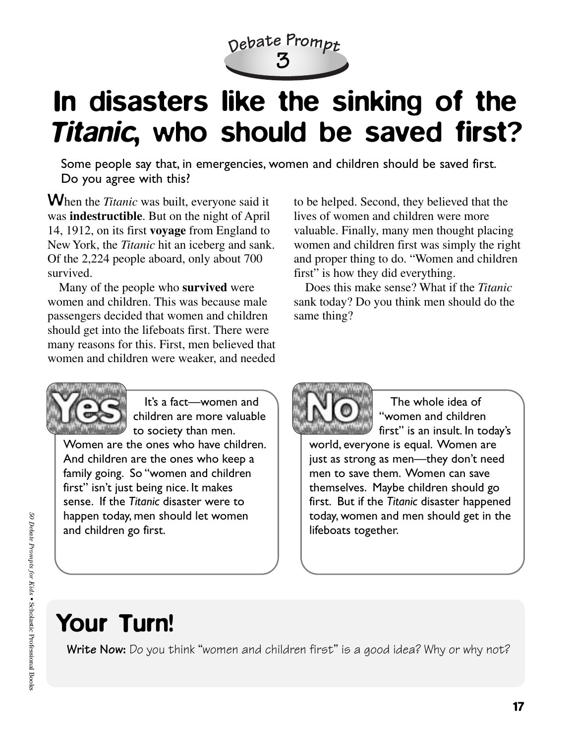

#### In disasters like the sinking of the Titanic, who should be saved first?

Some people say that, in emergencies, women and children should be saved first. Do you agree with this?

**W**hen the *Titanic* was built, everyone said it was **indestructible**. But on the night of April 14, 1912, on its first **voyage** from England to New York, the *Titanic* hit an iceberg and sank. Of the 2,224 people aboard, only about 700 survived.

Many of the people who **survived** were women and children. This was because male passengers decided that women and children should get into the lifeboats first. There were many reasons for this. First, men believed that women and children were weaker, and needed



It's a fact—women and children are more valuable to society than men.

Women are the ones who have children. And children are the ones who keep a family going. So "women and children first" isn't just being nice. It makes sense. If the *Titanic* disaster were to happen today, men should let women and children go first.

to be helped. Second, they believed that the lives of women and children were more valuable. Finally, many men thought placing women and children first was simply the right and proper thing to do. "Women and children first" is how they did everything.

Does this make sense? What if the *Titanic* sank today? Do you think men should do the same thing?



The whole idea of "women and children first" is an insult. In today's world, everyone is equal. Women are just as strong as men—they don't need

men to save them. Women can save themselves. Maybe children should go first. But if the *Titanic* disaster happened today, women and men should get in the lifeboats together.

#### Your Turn!

**Write Now:** Do you think "women and children first" is a good idea? Why or why not?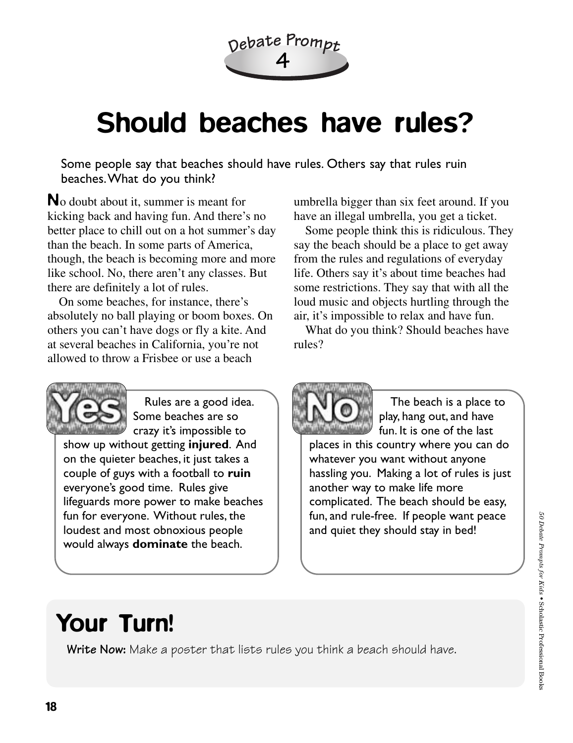

#### Should beaches have rules?

Some people say that beaches should have rules. Others say that rules ruin beaches.What do you think?

No doubt about it, summer is meant for kicking back and having fun. And there's no better place to chill out on a hot summer's day than the beach. In some parts of America, though, the beach is becoming more and more like school. No, there aren't any classes. But there are definitely a lot of rules.

On some beaches, for instance, there's absolutely no ball playing or boom boxes. On others you can't have dogs or fly a kite. And at several beaches in California, you're not allowed to throw a Frisbee or use a beach



Rules are a good idea. Some beaches are so crazy it's impossible to

show up without getting **injured**. And on the quieter beaches, it just takes a couple of guys with a football to **ruin** everyone's good time. Rules give lifeguards more power to make beaches fun for everyone. Without rules, the loudest and most obnoxious people would always **dominate** the beach.

umbrella bigger than six feet around. If you have an illegal umbrella, you get a ticket.

Some people think this is ridiculous. They say the beach should be a place to get away from the rules and regulations of everyday life. Others say it's about time beaches had some restrictions. They say that with all the loud music and objects hurtling through the air, it's impossible to relax and have fun.

What do you think? Should beaches have rules?



The beach is a place to play, hang out, and have fun. It is one of the last places in this country where you can do whatever you want without anyone hassling you. Making a lot of rules is just another way to make life more complicated. The beach should be easy, fun, and rule-free. If people want peace and quiet they should stay in bed!

#### Your Turn!

**Write Now:** Make a poster that lists rules you think a beach should have.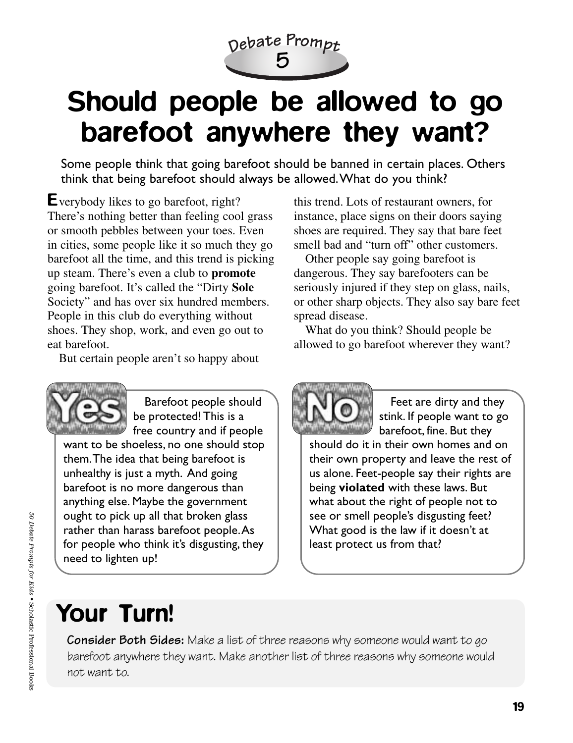

#### Should people be allowed to go barefoot anywhere they want?

Some people think that going barefoot should be banned in certain places. Others think that being barefoot should always be allowed.What do you think?

Everybody likes to go barefoot, right? There's nothing better than feeling cool grass or smooth pebbles between your toes. Even in cities, some people like it so much they go barefoot all the time, and this trend is picking up steam. There's even a club to **promote** going barefoot. It's called the "Dirty **Sole** Society" and has over six hundred members. People in this club do everything without shoes. They shop, work, and even go out to eat barefoot.

But certain people aren't so happy about



Barefoot people should be protected! This is a free country and if people

want to be shoeless, no one should stop them.The idea that being barefoot is unhealthy is just a myth. And going barefoot is no more dangerous than anything else. Maybe the government ought to pick up all that broken glass rather than harass barefoot people.As for people who think it's disgusting, they need to lighten up!

this trend. Lots of restaurant owners, for instance, place signs on their doors saying shoes are required. They say that bare feet smell bad and "turn off" other customers.

Other people say going barefoot is dangerous. They say barefooters can be seriously injured if they step on glass, nails, or other sharp objects. They also say bare feet spread disease.

What do you think? Should people be allowed to go barefoot wherever they want?

Feet are dirty and they stink. If people want to go barefoot, fine. But they should do it in their own homes and on their own property and leave the rest of us alone. Feet-people say their rights are being **violated** with these laws. But what about the right of people not to see or smell people's disgusting feet? What good is the law if it doesn't at

least protect us from that?

#### Your Turn!

**Consider Both Sides:** Make a list of three reasons why someone would want to go barefoot anywhere they want. Make another list of three reasons why someone would not want to.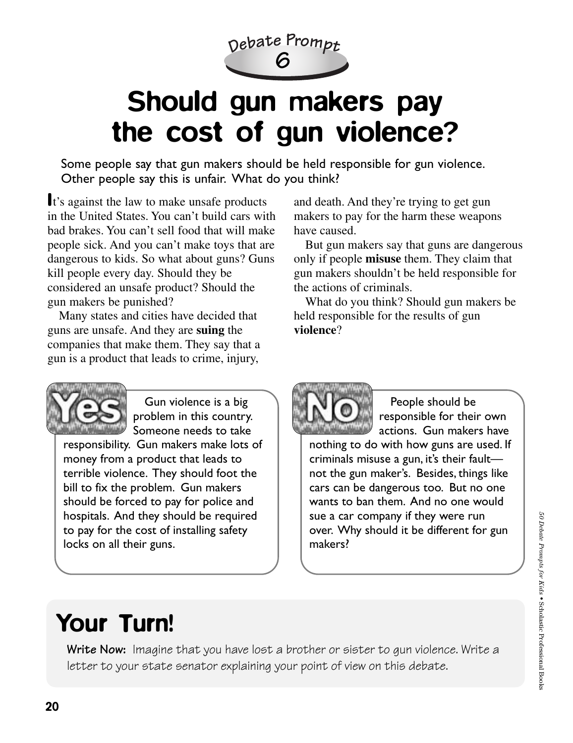

#### Should gun makers pay the cost of gun violence?

Some people say that gun makers should be held responsible for gun violence. Other people say this is unfair. What do you think?

t's against the law to make unsafe products I in the United States. You can't build cars with bad brakes. You can't sell food that will make people sick. And you can't make toys that are dangerous to kids. So what about guns? Guns kill people every day. Should they be considered an unsafe product? Should the gun makers be punished?

Many states and cities have decided that guns are unsafe. And they are **suing** the companies that make them. They say that a gun is a product that leads to crime, injury,



Gun violence is a big problem in this country. Someone needs to take

responsibility. Gun makers make lots of money from a product that leads to terrible violence. They should foot the bill to fix the problem. Gun makers should be forced to pay for police and hospitals. And they should be required to pay for the cost of installing safety locks on all their guns.

and death. And they're trying to get gun makers to pay for the harm these weapons have caused.

But gun makers say that guns are dangerous only if people **misuse** them. They claim that gun makers shouldn't be held responsible for the actions of criminals.

What do you think? Should gun makers be held responsible for the results of gun **violence**?



People should be responsible for their own actions. Gun makers have

nothing to do with how guns are used. If criminals misuse a gun, it's their fault not the gun maker's. Besides, things like cars can be dangerous too. But no one wants to ban them. And no one would sue a car company if they were run over. Why should it be different for gun makers?

#### Your Turn!

**Write Now:** Imagine that you have lost a brother or sister to gun violence. Write a letter to your state senator explaining your point of view on this debate.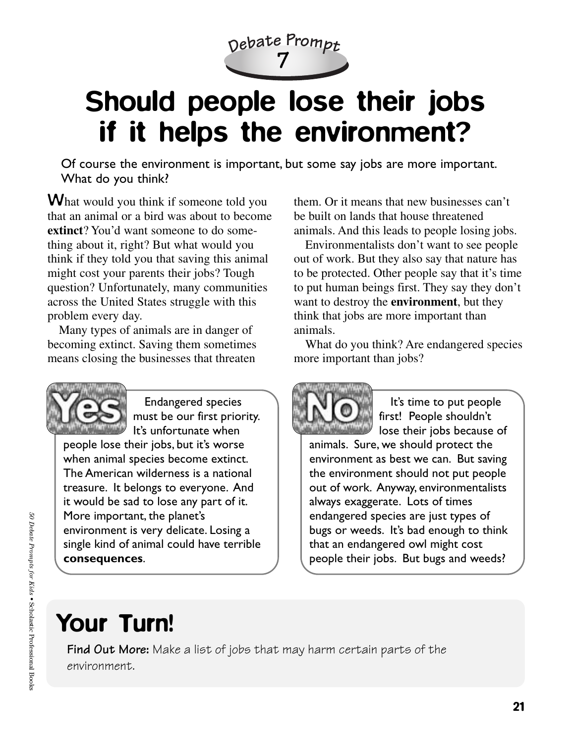

#### Should people lose their jobs if it helps the environment?

Of course the environment is important, but some say jobs are more important. What do you think?

What would you think if someone told you that an animal or a bird was about to become **extinct**? You'd want someone to do something about it, right? But what would you think if they told you that saving this animal might cost your parents their jobs? Tough question? Unfortunately, many communities across the United States struggle with this problem every day.

Many types of animals are in danger of becoming extinct. Saving them sometimes means closing the businesses that threaten



Endangered species must be our first priority. It's unfortunate when

people lose their jobs, but it's worse when animal species become extinct. The American wilderness is a national treasure. It belongs to everyone. And it would be sad to lose any part of it. More important, the planet's environment is very delicate. Losing a single kind of animal could have terrible **consequences**.

them. Or it means that new businesses can't be built on lands that house threatened animals. And this leads to people losing jobs.

Environmentalists don't want to see people out of work. But they also say that nature has to be protected. Other people say that it's time to put human beings first. They say they don't want to destroy the **environment**, but they think that jobs are more important than animals.

What do you think? Are endangered species more important than jobs?



It's time to put people first! People shouldn't lose their jobs because of animals. Sure, we should protect the environment as best we can. But saving the environment should not put people out of work. Anyway, environmentalists always exaggerate. Lots of times endangered species are just types of bugs or weeds. It's bad enough to think that an endangered owl might cost people their jobs. But bugs and weeds?

#### Your Turn!

**Find Out More:** Make a list of jobs that may harm certain parts of the environment.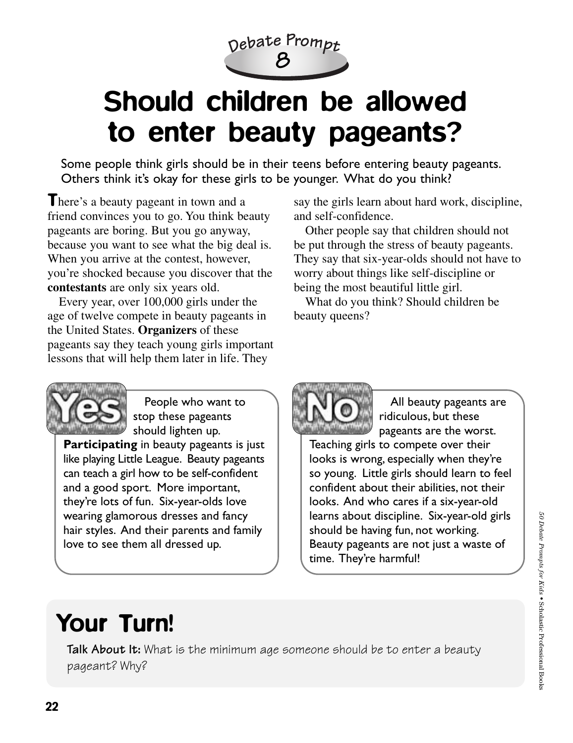

#### Should children be allowed to enter beauty pageants?

Some people think girls should be in their teens before entering beauty pageants. Others think it's okay for these girls to be younger. What do you think?

There's a beauty pageant in town and a friend convinces you to go. You think beauty pageants are boring. But you go anyway, because you want to see what the big deal is. When you arrive at the contest, however, you're shocked because you discover that the **contestants** are only six years old.

Every year, over 100,000 girls under the age of twelve compete in beauty pageants in the United States. **Organizers** of these pageants say they teach young girls important lessons that will help them later in life. They



People who want to stop these pageants should lighten up.

**Participating** in beauty pageants is just like playing Little League. Beauty pageants can teach a girl how to be self-confident and a good sport. More important, they're lots of fun. Six-year-olds love wearing glamorous dresses and fancy hair styles. And their parents and family love to see them all dressed up.

say the girls learn about hard work, discipline, and self-confidence.

Other people say that children should not be put through the stress of beauty pageants. They say that six-year-olds should not have to worry about things like self-discipline or being the most beautiful little girl.

What do you think? Should children be beauty queens?



All beauty pageants are ridiculous, but these pageants are the worst.

Teaching girls to compete over their looks is wrong, especially when they're so young. Little girls should learn to feel confident about their abilities, not their looks. And who cares if a six-year-old learns about discipline. Six-year-old girls should be having fun, not working. Beauty pageants are not just a waste of time. They're harmful!

#### Your Turn!

**Talk About It:** What is the minimum age someone should be to enter a beauty pageant? Why?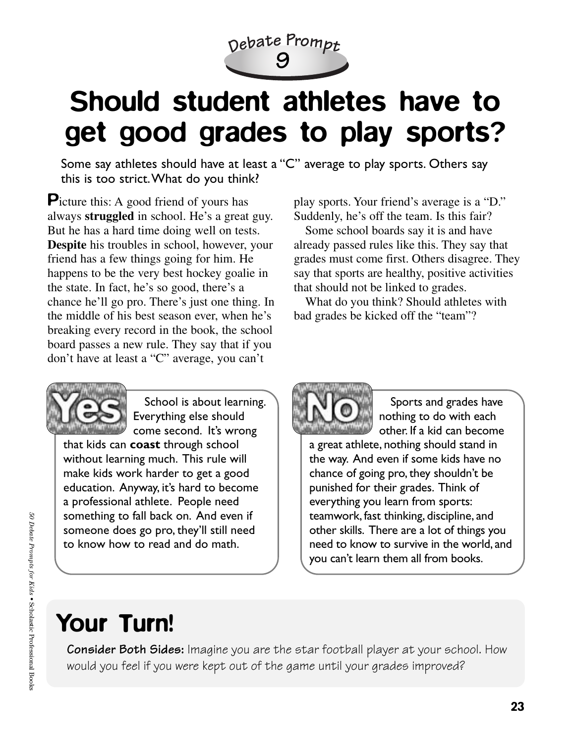

#### Should student athletes have to get good grades to play sports?

Some say athletes should have at least a "C" average to play sports. Others say this is too strict.What do you think?

Picture this: A good friend of yours has always **struggled** in school. He's a great guy. But he has a hard time doing well on tests. **Despite** his troubles in school, however, your friend has a few things going for him. He happens to be the very best hockey goalie in the state. In fact, he's so good, there's a chance he'll go pro. There's just one thing. In the middle of his best season ever, when he's breaking every record in the book, the school board passes a new rule. They say that if you don't have at least a "C" average, you can't



School is about learning. Everything else should come second. It's wrong that kids can **coast** through school without learning much. This rule will make kids work harder to get a good education. Anyway, it's hard to become a professional athlete. People need something to fall back on. And even if someone does go pro, they'll still need to know how to read and do math.

play sports. Your friend's average is a "D." Suddenly, he's off the team. Is this fair?

Some school boards say it is and have already passed rules like this. They say that grades must come first. Others disagree. They say that sports are healthy, positive activities that should not be linked to grades.

What do you think? Should athletes with bad grades be kicked off the "team"?



Sports and grades have nothing to do with each other. If a kid can become a great athlete, nothing should stand in the way. And even if some kids have no chance of going pro, they shouldn't be punished for their grades. Think of everything you learn from sports: teamwork, fast thinking, discipline, and other skills. There are a lot of things you need to know to survive in the world, and you can't learn them all from books.

#### Your Turn!

**Consider Both Sides:** Imagine you are the star football player at your school. How would you feel if you were kept out of the game until your grades improved?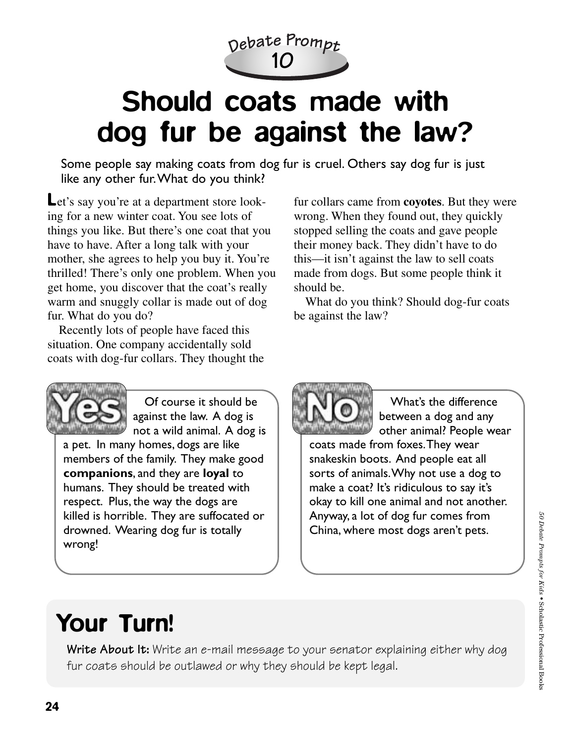

#### Should coats made with dog fur be against the law?

Some people say making coats from dog fur is cruel. Others say dog fur is just like any other fur.What do you think?

Let's say you're at a department store looking for a new winter coat. You see lots of things you like. But there's one coat that you have to have. After a long talk with your mother, she agrees to help you buy it. You're thrilled! There's only one problem. When you get home, you discover that the coat's really warm and snuggly collar is made out of dog fur. What do you do?

Recently lots of people have faced this situation. One company accidentally sold coats with dog-fur collars. They thought the



Of course it should be against the law. A dog is not a wild animal. A dog is

a pet. In many homes, dogs are like members of the family. They make good **companions**, and they are **loyal** to humans. They should be treated with respect. Plus, the way the dogs are killed is horrible. They are suffocated or drowned. Wearing dog fur is totally wrong!

fur collars came from **coyotes**. But they were wrong. When they found out, they quickly stopped selling the coats and gave people their money back. They didn't have to do this—it isn't against the law to sell coats made from dogs. But some people think it should be.

What do you think? Should dog-fur coats be against the law?



What's the difference between a dog and any other animal? People wear coats made from foxes.They wear snakeskin boots. And people eat all sorts of animals.Why not use a dog to make a coat? It's ridiculous to say it's okay to kill one animal and not another. Anyway, a lot of dog fur comes from China, where most dogs aren't pets.

#### Your Turn!

**Write About It:** Write an e-mail message to your senator explaining either why dog fur coats should be outlawed or why they should be kept legal.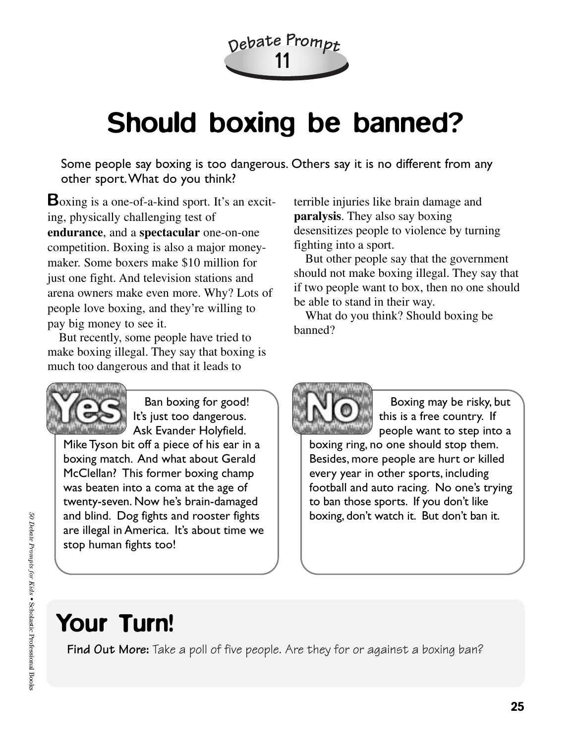

### Should boxing be banned?

Some people say boxing is too dangerous. Others say it is no different from any other sport.What do you think?

 $\mathbf{B}$ oxing is a one-of-a-kind sport. It's an exciting, physically challenging test of **endurance**, and a **spectacular** one-on-one competition. Boxing is also a major moneymaker. Some boxers make \$10 million for just one fight. And television stations and arena owners make even more. Why? Lots of people love boxing, and they're willing to pay big money to see it.

But recently, some people have tried to make boxing illegal. They say that boxing is much too dangerous and that it leads to



Ban boxing for good! It's just too dangerous. Ask Evander Holyfield.

Mike Tyson bit off a piece of his ear in a boxing match. And what about Gerald McClellan? This former boxing champ was beaten into a coma at the age of twenty-seven. Now he's brain-damaged and blind. Dog fights and rooster fights are illegal in America. It's about time we stop human fights too!

terrible injuries like brain damage and **paralysis**. They also say boxing desensitizes people to violence by turning fighting into a sport.

But other people say that the government should not make boxing illegal. They say that if two people want to box, then no one should be able to stand in their way.

What do you think? Should boxing be banned?



Boxing may be risky, but this is a free country. If people want to step into a

boxing ring, no one should stop them. Besides, more people are hurt or killed every year in other sports, including football and auto racing. No one's trying to ban those sports. If you don't like boxing, don't watch it. But don't ban it.

#### Your Turn!

Find Out More: Take a poll of five people. Are they for or against a boxing ban?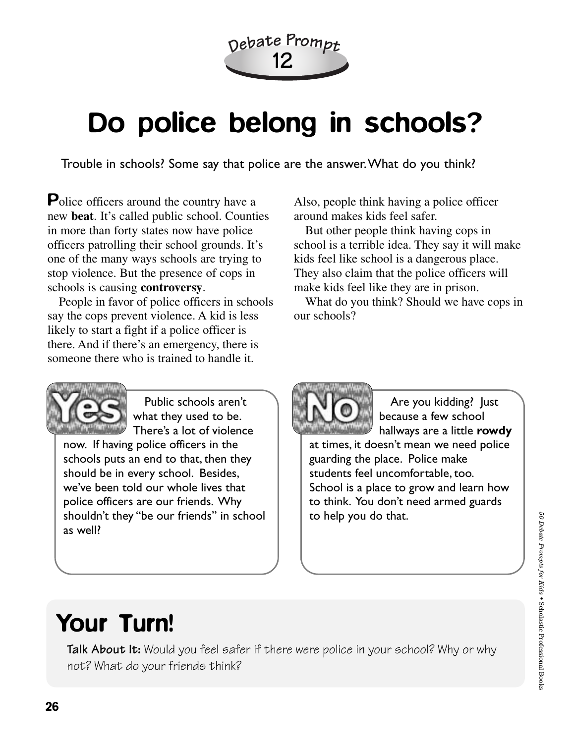

### Do police belong in schools?

Trouble in schools? Some say that police are the answer.What do you think?

Police officers around the country have a new **beat**. It's called public school. Counties in more than forty states now have police officers patrolling their school grounds. It's one of the many ways schools are trying to stop violence. But the presence of cops in schools is causing **controversy**.

People in favor of police officers in schools say the cops prevent violence. A kid is less likely to start a fight if a police officer is there. And if there's an emergency, there is someone there who is trained to handle it.



Public schools aren't what they used to be. There's a lot of violence

now. If having police officers in the schools puts an end to that, then they should be in every school. Besides, we've been told our whole lives that police officers are our friends. Why shouldn't they "be our friends" in school as well?

Also, people think having a police officer around makes kids feel safer.

But other people think having cops in school is a terrible idea. They say it will make kids feel like school is a dangerous place. They also claim that the police officers will make kids feel like they are in prison.

What do you think? Should we have cops in our schools?



Are you kidding? Just because a few school hallways are a little **rowdy** at times, it doesn't mean we need police guarding the place. Police make students feel uncomfortable, too.

School is a place to grow and learn how to think. You don't need armed guards to help you do that.

#### Your Turn!

Talk About It: Would you feel safer if there were police in your school? Why or why not? What do your friends think?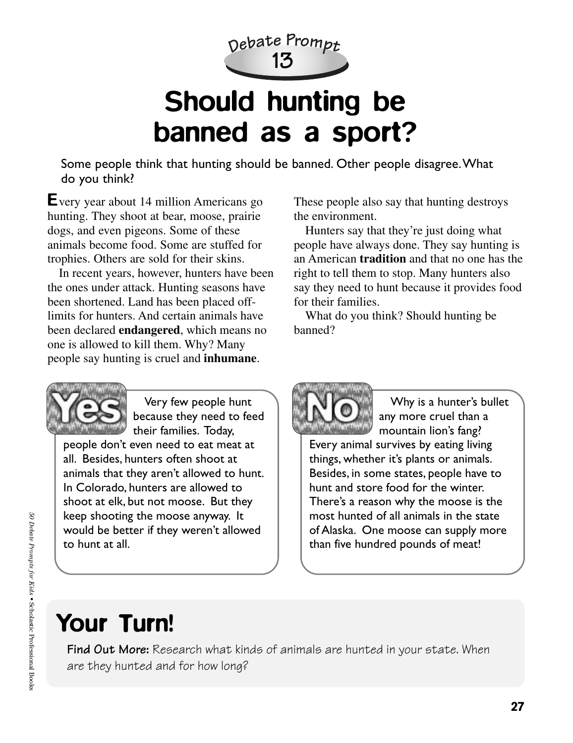

#### Should hunting be banned as a sport?

Some people think that hunting should be banned. Other people disagree.What do you think?

Every year about 14 million Americans go hunting. They shoot at bear, moose, prairie dogs, and even pigeons. Some of these animals become food. Some are stuffed for trophies. Others are sold for their skins.

In recent years, however, hunters have been the ones under attack. Hunting seasons have been shortened. Land has been placed offlimits for hunters. And certain animals have been declared **endangered**, which means no one is allowed to kill them. Why? Many people say hunting is cruel and **inhumane**.



Very few people hunt because they need to feed their families. Today,

people don't even need to eat meat at all. Besides, hunters often shoot at animals that they aren't allowed to hunt. In Colorado, hunters are allowed to shoot at elk, but not moose. But they keep shooting the moose anyway. It would be better if they weren't allowed to hunt at all.

These people also say that hunting destroys the environment.

Hunters say that they're just doing what people have always done. They say hunting is an American **tradition** and that no one has the right to tell them to stop. Many hunters also say they need to hunt because it provides food for their families.

What do you think? Should hunting be banned?

Why is a hunter's bullet any more cruel than a mountain lion's fang? Every animal survives by eating living things, whether it's plants or animals. Besides, in some states, people have to hunt and store food for the winter. There's a reason why the moose is the most hunted of all animals in the state of Alaska. One moose can supply more than five hundred pounds of meat!

#### Your Turn!

**Find Out More:** Research what kinds of animals are hunted in your state. When are they hunted and for how long?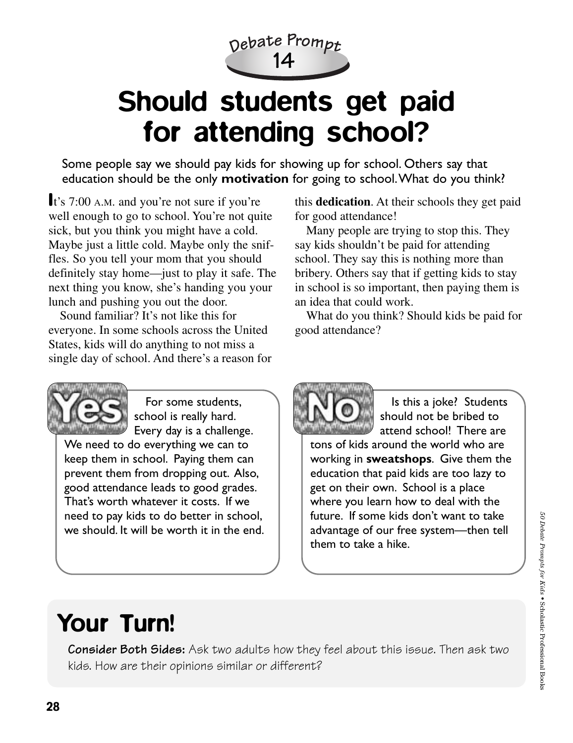

#### Should students get paid for attending school?

Some people say we should pay kids for showing up for school. Others say that education should be the only **motivation** for going to school.What do you think?

t's 7:00 A.M. and you're not sure if you're I well enough to go to school. You're not quite sick, but you think you might have a cold. Maybe just a little cold. Maybe only the sniffles. So you tell your mom that you should definitely stay home—just to play it safe. The next thing you know, she's handing you your lunch and pushing you out the door.

Sound familiar? It's not like this for everyone. In some schools across the United States, kids will do anything to not miss a single day of school. And there's a reason for



For some students, school is really hard. Every day is a challenge.

We need to do everything we can to keep them in school. Paying them can prevent them from dropping out. Also, good attendance leads to good grades. That's worth whatever it costs. If we need to pay kids to do better in school, we should. It will be worth it in the end. this **dedication**. At their schools they get paid for good attendance!

Many people are trying to stop this. They say kids shouldn't be paid for attending school. They say this is nothing more than bribery. Others say that if getting kids to stay in school is so important, then paying them is an idea that could work.

What do you think? Should kids be paid for good attendance?



Is this a joke? Students should not be bribed to attend school! There are tons of kids around the world who are working in **sweatshops**. Give them the education that paid kids are too lazy to get on their own. School is a place where you learn how to deal with the future. If some kids don't want to take advantage of our free system—then tell them to take a hike.

#### Your Turn!

**Consider Both Sides:** Ask two adults how they feel about this issue. Then ask two kids. How are their opinions similar or different?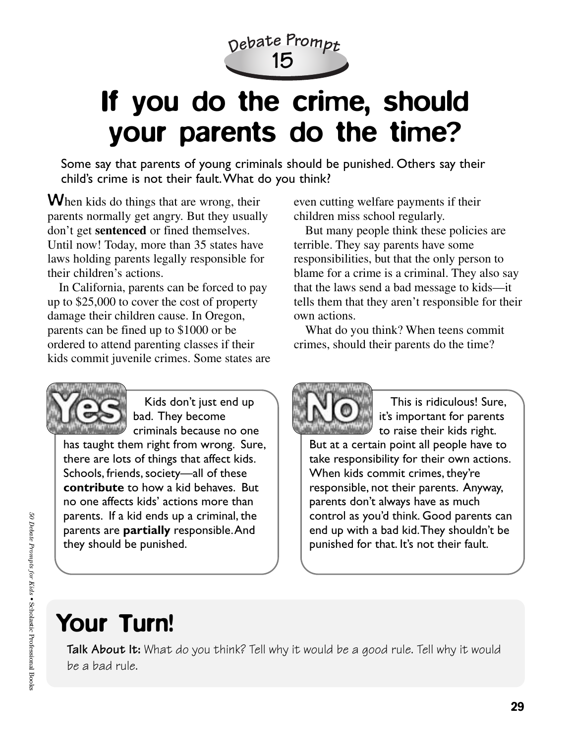

#### If you do the crime, should your parents do the time?

Some say that parents of young criminals should be punished. Others say their child's crime is not their fault.What do you think?

When kids do things that are wrong, their parents normally get angry. But they usually don't get **sentenced** or fined themselves. Until now! Today, more than 35 states have laws holding parents legally responsible for their children's actions.

In California, parents can be forced to pay up to \$25,000 to cover the cost of property damage their children cause. In Oregon, parents can be fined up to \$1000 or be ordered to attend parenting classes if their kids commit juvenile crimes. Some states are



Kids don't just end up bad. They become criminals because no one

has taught them right from wrong. Sure, there are lots of things that affect kids. Schools, friends, society—all of these **contribute** to how a kid behaves. But no one affects kids' actions more than parents. If a kid ends up a criminal, the parents are **partially** responsible.And they should be punished.

even cutting welfare payments if their children miss school regularly.

But many people think these policies are terrible. They say parents have some responsibilities, but that the only person to blame for a crime is a criminal. They also say that the laws send a bad message to kids—it tells them that they aren't responsible for their own actions.

What do you think? When teens commit crimes, should their parents do the time?



This is ridiculous! Sure, it's important for parents to raise their kids right.

But at a certain point all people have to take responsibility for their own actions. When kids commit crimes, they're responsible, not their parents. Anyway, parents don't always have as much control as you'd think. Good parents can end up with a bad kid.They shouldn't be punished for that. It's not their fault.

#### Your Turn!

Talk About It: What do you think? Tell why it would be a good rule. Tell why it would be a bad rule.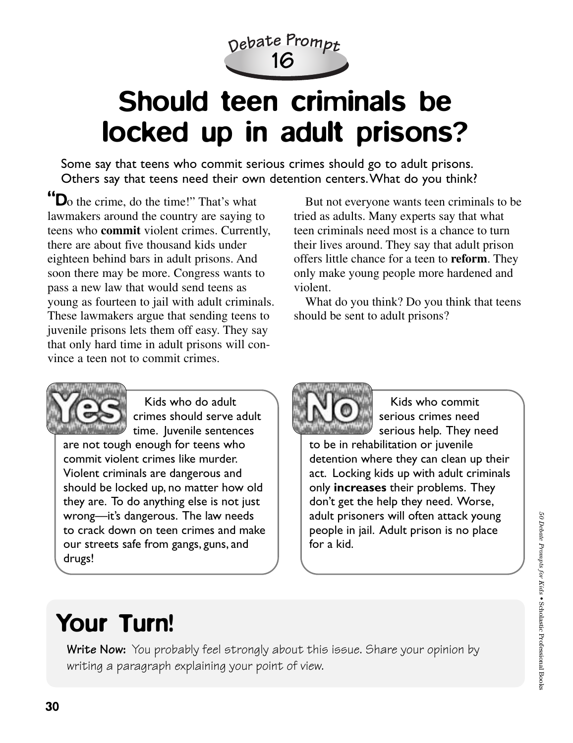

#### Should teen criminals be locked up in adult prisons?

Some say that teens who commit serious crimes should go to adult prisons. Others say that teens need their own detention centers.What do you think?

 $"$  Do the crime, do the time!" That's what lawmakers around the country are saying to teens who **commit** violent crimes. Currently, there are about five thousand kids under eighteen behind bars in adult prisons. And soon there may be more. Congress wants to pass a new law that would send teens as young as fourteen to jail with adult criminals. These lawmakers argue that sending teens to juvenile prisons lets them off easy. They say that only hard time in adult prisons will convince a teen not to commit crimes.

But not everyone wants teen criminals to be tried as adults. Many experts say that what teen criminals need most is a chance to turn their lives around. They say that adult prison offers little chance for a teen to **reform**. They only make young people more hardened and violent.

What do you think? Do you think that teens should be sent to adult prisons?



Kids who do adult crimes should serve adult time. Juvenile sentences

are not tough enough for teens who commit violent crimes like murder. Violent criminals are dangerous and should be locked up, no matter how old they are. To do anything else is not just wrong—it's dangerous. The law needs to crack down on teen crimes and make our streets safe from gangs, guns, and drugs!



Kids who commit serious crimes need serious help. They need to be in rehabilitation or juvenile detention where they can clean up their act. Locking kids up with adult criminals only **increases** their problems. They don't get the help they need. Worse, adult prisoners will often attack young people in jail. Adult prison is no place for a kid.

#### Your Turn!

Write Now: You probably feel strongly about this issue. Share your opinion by writing a paragraph explaining your point of view.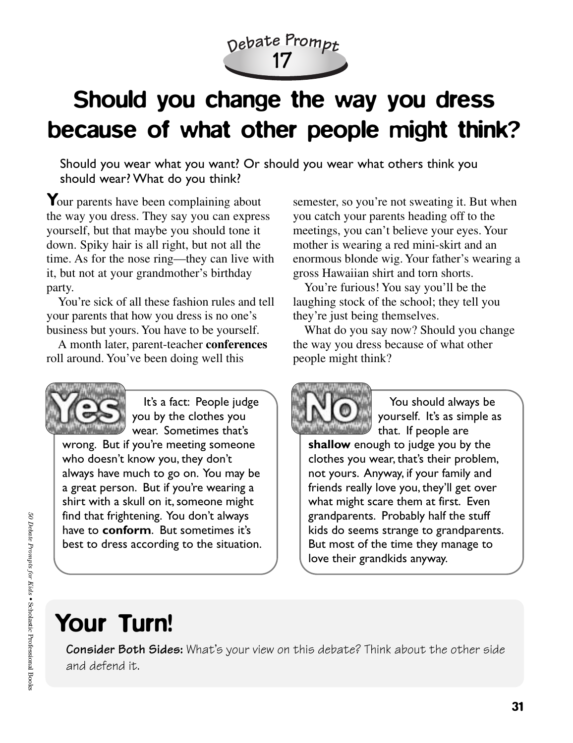

#### Should you change the way you dress because of what other people might think?

Should you wear what you want? Or should you wear what others think you should wear? What do you think?

Your parents have been complaining about the way you dress. They say you can express yourself, but that maybe you should tone it down. Spiky hair is all right, but not all the time. As for the nose ring—they can live with it, but not at your grandmother's birthday party.

You're sick of all these fashion rules and tell your parents that how you dress is no one's business but yours. You have to be yourself.

A month later, parent-teacher **conferences** roll around. You've been doing well this



It's a fact: People judge you by the clothes you wear. Sometimes that's

wrong. But if you're meeting someone who doesn't know you, they don't always have much to go on. You may be a great person. But if you're wearing a shirt with a skull on it, someone might find that frightening. You don't always have to **conform**. But sometimes it's best to dress according to the situation.

semester, so you're not sweating it. But when you catch your parents heading off to the meetings, you can't believe your eyes. Your mother is wearing a red mini-skirt and an enormous blonde wig. Your father's wearing a gross Hawaiian shirt and torn shorts.

You're furious! You say you'll be the laughing stock of the school; they tell you they're just being themselves.

What do you say now? Should you change the way you dress because of what other people might think?

You should always be yourself. It's as simple as that. If people are **shallow** enough to judge you by the clothes you wear, that's their problem, not yours. Anyway, if your family and friends really love you, they'll get over what might scare them at first. Even grandparents. Probably half the stuff kids do seems strange to grandparents. But most of the time they manage to love their grandkids anyway.

#### Your Turn!

**Consider Both Sides:** What's your view on this debate? Think about the other side and defend it.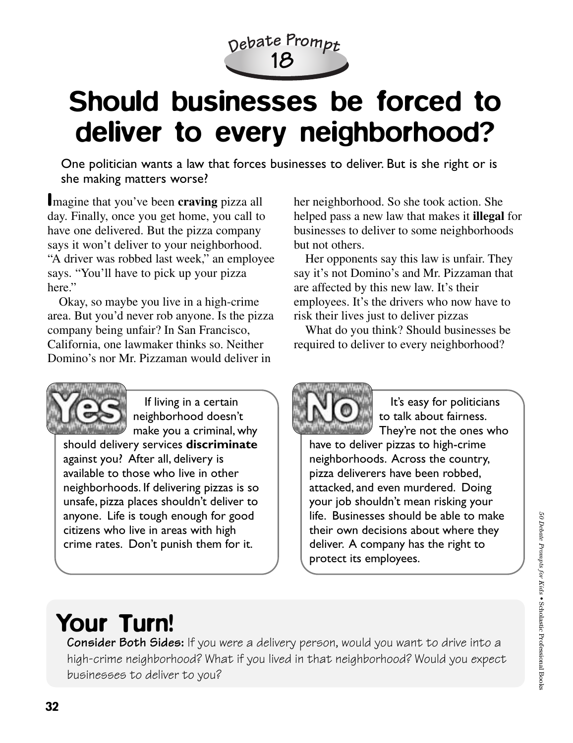

#### Should businesses be forced to deliver to every neighborhood?

One politician wants a law that forces businesses to deliver. But is she right or is she making matters worse?

magine that you've been **craving** pizza all I day. Finally, once you get home, you call to have one delivered. But the pizza company says it won't deliver to your neighborhood. "A driver was robbed last week," an employee says. "You'll have to pick up your pizza here."

Okay, so maybe you live in a high-crime area. But you'd never rob anyone. Is the pizza company being unfair? In San Francisco, California, one lawmaker thinks so. Neither Domino's nor Mr. Pizzaman would deliver in



If living in a certain neighborhood doesn't make you a criminal, why

should delivery services **discriminate** against you? After all, delivery is available to those who live in other neighborhoods. If delivering pizzas is so unsafe, pizza places shouldn't deliver to anyone. Life is tough enough for good citizens who live in areas with high crime rates. Don't punish them for it.

her neighborhood. So she took action. She helped pass a new law that makes it **illegal** for businesses to deliver to some neighborhoods but not others.

Her opponents say this law is unfair. They say it's not Domino's and Mr. Pizzaman that are affected by this new law. It's their employees. It's the drivers who now have to risk their lives just to deliver pizzas

What do you think? Should businesses be required to deliver to every neighborhood?



It's easy for politicians to talk about fairness. They're not the ones who have to deliver pizzas to high-crime neighborhoods. Across the country, pizza deliverers have been robbed, attacked, and even murdered. Doing your job shouldn't mean risking your life. Businesses should be able to make their own decisions about where they deliver. A company has the right to protect its employees.

#### Your Turn!

**Consider Both Sides:** If you were a delivery person, would you want to drive into a high-crime neighborhood? What if you lived in that neighborhood? Would you expect businesses to deliver to you?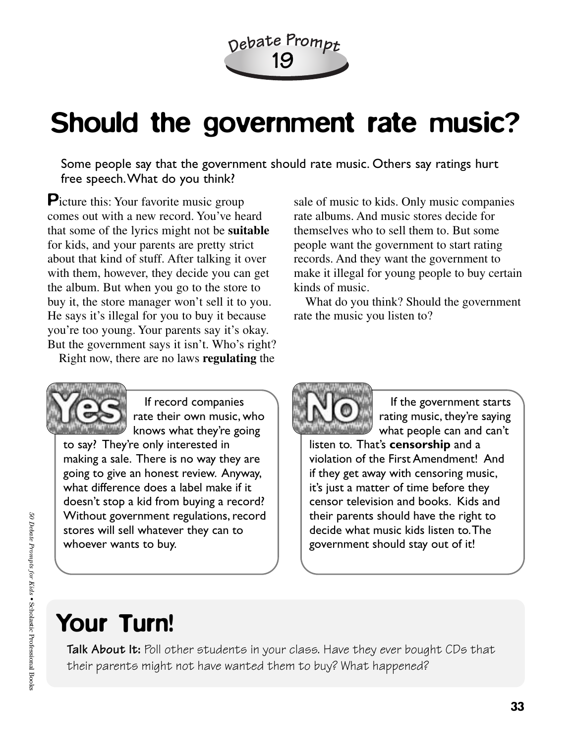

### Should the government rate music?

Some people say that the government should rate music. Others say ratings hurt free speech.What do you think?

Picture this: Your favorite music group comes out with a new record. You've heard that some of the lyrics might not be **suitable** for kids, and your parents are pretty strict about that kind of stuff. After talking it over with them, however, they decide you can get the album. But when you go to the store to buy it, the store manager won't sell it to you. He says it's illegal for you to buy it because you're too young. Your parents say it's okay. But the government says it isn't. Who's right?

Right now, there are no laws **regulating** the



If record companies rate their own music, who knows what they're going

to say? They're only interested in making a sale. There is no way they are going to give an honest review. Anyway, what difference does a label make if it doesn't stop a kid from buying a record? Without government regulations, record stores will sell whatever they can to whoever wants to buy.

sale of music to kids. Only music companies rate albums. And music stores decide for themselves who to sell them to. But some people want the government to start rating records. And they want the government to make it illegal for young people to buy certain kinds of music.

What do you think? Should the government rate the music you listen to?



If the government starts rating music, they're saying what people can and can't

listen to. That's **censorship** and a violation of the First Amendment! And if they get away with censoring music, it's just a matter of time before they censor television and books. Kids and their parents should have the right to decide what music kids listen to.The government should stay out of it!

#### Your Turn!

**Talk About It:** Poll other students in your class. Have they ever bought CDs that their parents might not have wanted them to buy? What happened?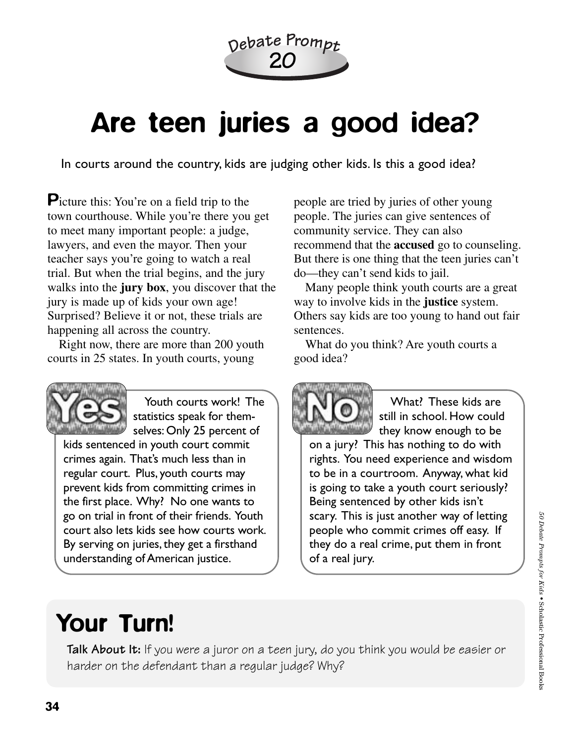

## Are teen juries a good idea?

In courts around the country, kids are judging other kids. Is this a good idea?

Picture this: You're on a field trip to the town courthouse. While you're there you get to meet many important people: a judge, lawyers, and even the mayor. Then your teacher says you're going to watch a real trial. But when the trial begins, and the jury walks into the **jury box**, you discover that the jury is made up of kids your own age! Surprised? Believe it or not, these trials are happening all across the country.

Right now, there are more than 200 youth courts in 25 states. In youth courts, young



Youth courts work! The statistics speak for themselves: Only 25 percent of

kids sentenced in youth court commit crimes again. That's much less than in regular court. Plus, youth courts may prevent kids from committing crimes in the first place. Why? No one wants to go on trial in front of their friends. Youth court also lets kids see how courts work. By serving on juries, they get a firsthand understanding of American justice.

people are tried by juries of other young people. The juries can give sentences of community service. They can also recommend that the **accused** go to counseling. But there is one thing that the teen juries can't do—they can't send kids to jail.

Many people think youth courts are a great way to involve kids in the **justice** system. Others say kids are too young to hand out fair sentences.

What do you think? Are youth courts a good idea?



What? These kids are still in school. How could they know enough to be on a jury? This has nothing to do with rights. You need experience and wisdom to be in a courtroom. Anyway, what kid is going to take a youth court seriously? Being sentenced by other kids isn't scary. This is just another way of letting people who commit crimes off easy. If

they do a real crime, put them in front of a real jury.

#### Your Turn!

**Talk About It:** If you were a juror on a teen jury, do you think you would be easier or harder on the defendant than a regular judge? Why?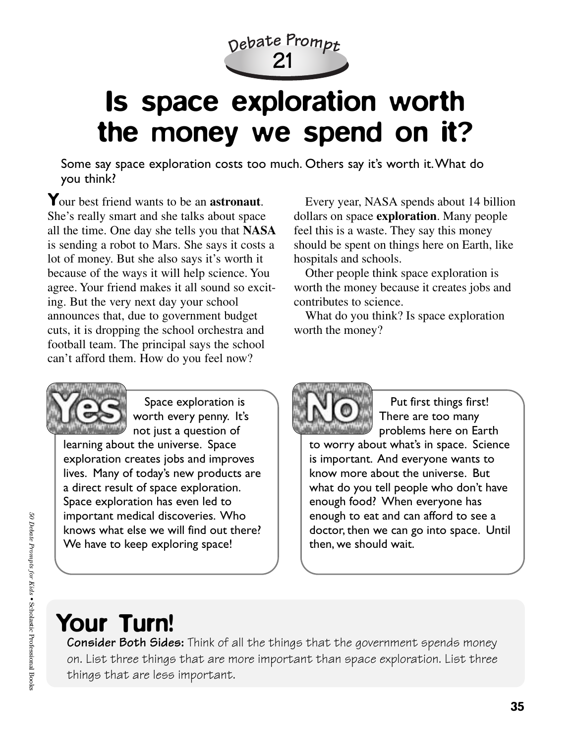

#### Is space exploration worth the money we spend on it?

Some say space exploration costs too much. Others say it's worth it.What do you think?

Your best friend wants to be an **astronaut**. She's really smart and she talks about space all the time. One day she tells you that **NASA** is sending a robot to Mars. She says it costs a lot of money. But she also says it's worth it because of the ways it will help science. You agree. Your friend makes it all sound so exciting. But the very next day your school announces that, due to government budget cuts, it is dropping the school orchestra and football team. The principal says the school can't afford them. How do you feel now?



Space exploration is worth every penny. It's not just a question of

learning about the universe. Space exploration creates jobs and improves lives. Many of today's new products are a direct result of space exploration. Space exploration has even led to important medical discoveries. Who knows what else we will find out there? We have to keep exploring space!

Every year, NASA spends about 14 billion dollars on space **exploration**. Many people feel this is a waste. They say this money should be spent on things here on Earth, like hospitals and schools.

Other people think space exploration is worth the money because it creates jobs and contributes to science.

What do you think? Is space exploration worth the money?



Put first things first! There are too many problems here on Earth

to worry about what's in space. Science is important. And everyone wants to know more about the universe. But what do you tell people who don't have enough food? When everyone has enough to eat and can afford to see a doctor, then we can go into space. Until then, we should wait.

#### Your Turn!

**Consider Both Sides:** Think of all the things that the government spends money on. List three things that are more important than space exploration. List three things that are less important.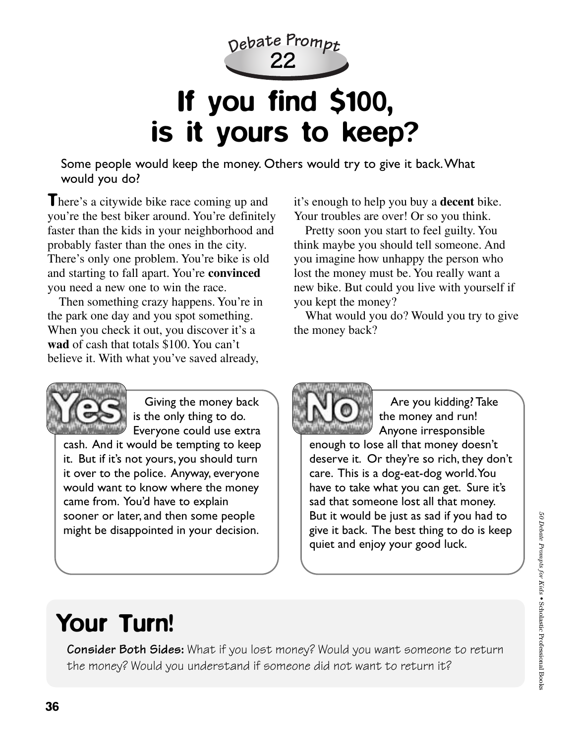

### If you find \$100, is it yours to keep?

Some people would keep the money. Others would try to give it back.What would you do?

There's a citywide bike race coming up and you're the best biker around. You're definitely faster than the kids in your neighborhood and probably faster than the ones in the city. There's only one problem. You're bike is old and starting to fall apart. You're **convinced** you need a new one to win the race.

Then something crazy happens. You're in the park one day and you spot something. When you check it out, you discover it's a **wad** of cash that totals \$100. You can't believe it. With what you've saved already,



Giving the money back is the only thing to do. Everyone could use extra

cash. And it would be tempting to keep it. But if it's not yours, you should turn it over to the police. Anyway, everyone would want to know where the money came from. You'd have to explain sooner or later, and then some people might be disappointed in your decision.

it's enough to help you buy a **decent** bike. Your troubles are over! Or so you think.

Pretty soon you start to feel guilty. You think maybe you should tell someone. And you imagine how unhappy the person who lost the money must be. You really want a new bike. But could you live with yourself if you kept the money?

What would you do? Would you try to give the money back?



Are you kidding? Take the money and run! Anyone irresponsible

enough to lose all that money doesn't deserve it. Or they're so rich, they don't care. This is a dog-eat-dog world.You have to take what you can get. Sure it's sad that someone lost all that money. But it would be just as sad if you had to give it back. The best thing to do is keep quiet and enjoy your good luck.

#### Your Turn!

**Consider Both Sides:** What if you lost money? Would you want someone to return the money? Would you understand if someone did not want to return it?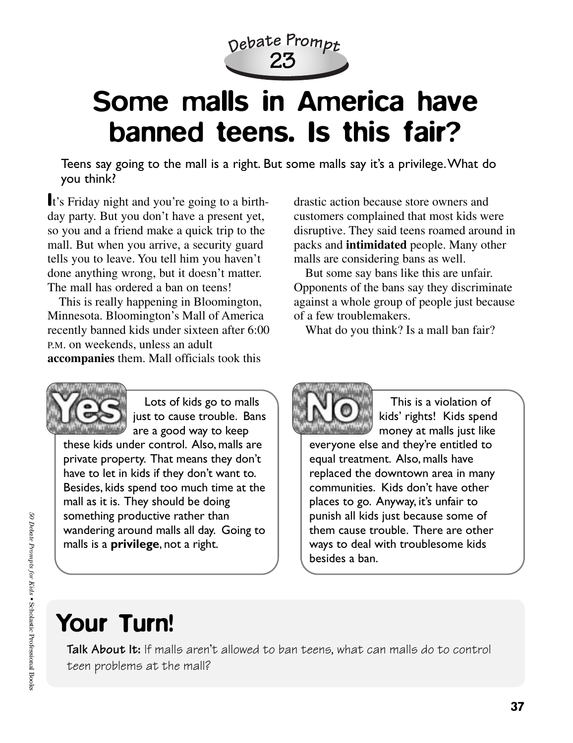

#### Some malls in America have banned teens. Is this fair?

Teens say going to the mall is a right. But some malls say it's a privilege.What do you think?

t's Friday night and you're going to a birth-I day party. But you don't have a present yet, so you and a friend make a quick trip to the mall. But when you arrive, a security guard tells you to leave. You tell him you haven't done anything wrong, but it doesn't matter. The mall has ordered a ban on teens!

This is really happening in Bloomington, Minnesota. Bloomington's Mall of America recently banned kids under sixteen after 6:00 P.M. on weekends, unless an adult **accompanies** them. Mall officials took this



Lots of kids go to malls just to cause trouble. Bans are a good way to keep

these kids under control. Also, malls are private property. That means they don't have to let in kids if they don't want to. Besides, kids spend too much time at the mall as it is. They should be doing something productive rather than wandering around malls all day. Going to malls is a **privilege**, not a right.

drastic action because store owners and customers complained that most kids were disruptive. They said teens roamed around in packs and **intimidated** people. Many other malls are considering bans as well.

But some say bans like this are unfair. Opponents of the bans say they discriminate against a whole group of people just because of a few troublemakers.

What do you think? Is a mall ban fair?

This is a violation of kids' rights! Kids spend money at malls just like everyone else and they're entitled to equal treatment. Also, malls have replaced the downtown area in many communities. Kids don't have other places to go. Anyway, it's unfair to punish all kids just because some of them cause trouble. There are other ways to deal with troublesome kids besides a ban.

#### Your Turn!

Talk About It: If malls aren't allowed to ban teens, what can malls do to control teen problems at the mall?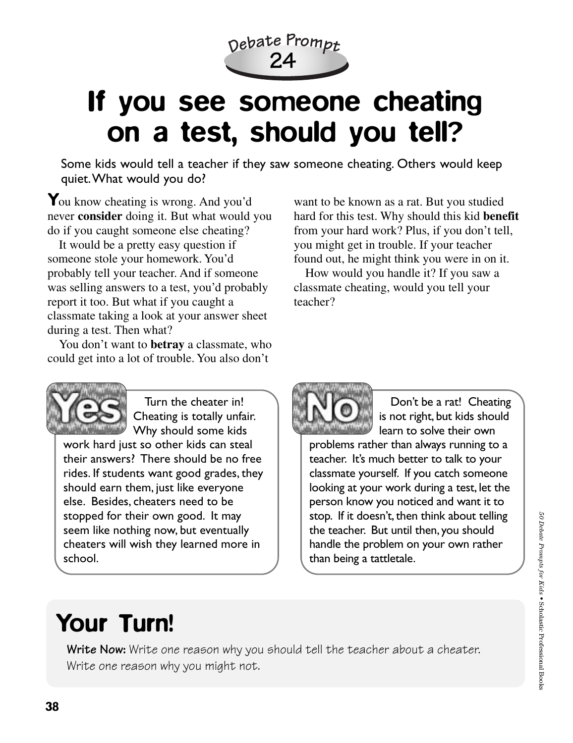

#### If you see someone cheating on a test, should you tell?

Some kids would tell a teacher if they saw someone cheating. Others would keep quiet.What would you do?

You know cheating is wrong. And you'd never **consider** doing it. But what would you do if you caught someone else cheating?

It would be a pretty easy question if someone stole your homework. You'd probably tell your teacher. And if someone was selling answers to a test, you'd probably report it too. But what if you caught a classmate taking a look at your answer sheet during a test. Then what?

You don't want to **betray** a classmate, who could get into a lot of trouble. You also don't



Turn the cheater in! Cheating is totally unfair. Why should some kids

work hard just so other kids can steal their answers? There should be no free rides. If students want good grades, they should earn them, just like everyone else. Besides, cheaters need to be stopped for their own good. It may seem like nothing now, but eventually cheaters will wish they learned more in school.

want to be known as a rat. But you studied hard for this test. Why should this kid **benefit** from your hard work? Plus, if you don't tell, you might get in trouble. If your teacher found out, he might think you were in on it.

How would you handle it? If you saw a classmate cheating, would you tell your teacher?



Don't be a rat! Cheating is not right, but kids should learn to solve their own problems rather than always running to a teacher. It's much better to talk to your classmate yourself. If you catch someone looking at your work during a test, let the person know you noticed and want it to stop. If it doesn't, then think about telling the teacher. But until then, you should

handle the problem on your own rather than being a tattletale.

#### Your Turn!

**Write Now:** Write one reason why you should tell the teacher about a cheater. Write one reason why you might not.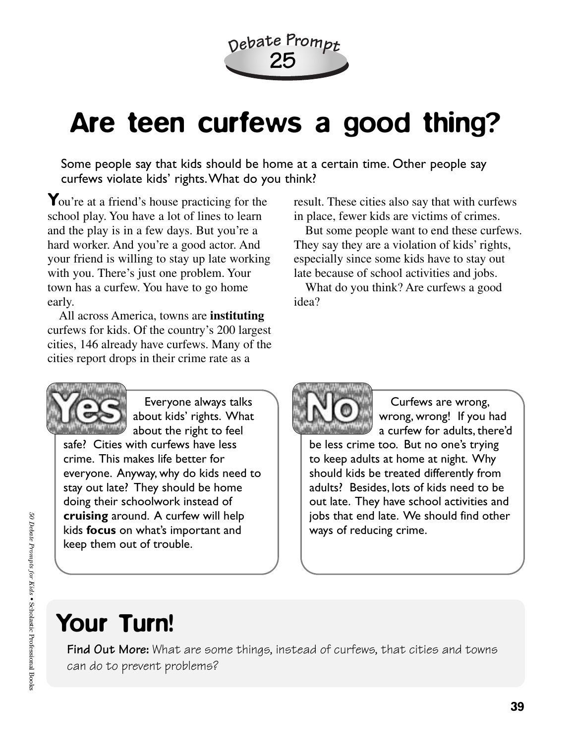

#### Are teen curfews a good thing?

Some people say that kids should be home at a certain time. Other people say curfews violate kids' rights.What do you think?

 $\mathsf{Y}_{\text{ou're}}$  at a friend's house practicing for the school play. You have a lot of lines to learn and the play is in a few days. But you're a hard worker. And you're a good actor. And your friend is willing to stay up late working with you. There's just one problem. Your town has a curfew. You have to go home early.

All across America, towns are **instituting** curfews for kids. Of the country's 200 largest cities, 146 already have curfews. Many of the cities report drops in their crime rate as a



Everyone always talks about kids' rights. What about the right to feel

safe? Cities with curfews have less crime. This makes life better for everyone. Anyway, why do kids need to stay out late? They should be home doing their schoolwork instead of **cruising** around. A curfew will help kids **focus** on what's important and keep them out of trouble.

result. These cities also say that with curfews in place, fewer kids are victims of crimes.

But some people want to end these curfews. They say they are a violation of kids' rights, especially since some kids have to stay out late because of school activities and jobs.

What do you think? Are curfews a good idea?



Curfews are wrong, wrong, wrong! If you had a curfew for adults, there'd be less crime too. But no one's trying to keep adults at home at night. Why should kids be treated differently from adults? Besides, lots of kids need to be out late. They have school activities and jobs that end late. We should find other ways of reducing crime.

#### Your Turn!

**Find Out More:** What are some things, instead of curfews, that cities and towns can do to prevent problems?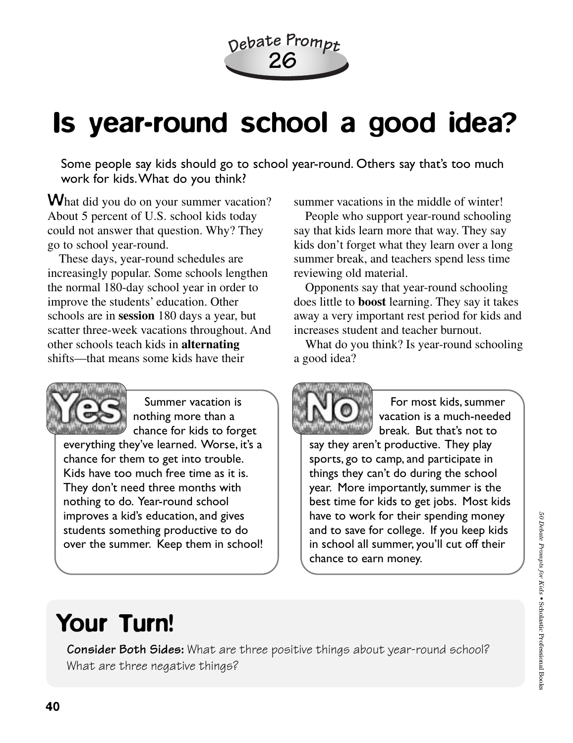

## Is year-round school a good idea?

Some people say kids should go to school year-round. Others say that's too much work for kids.What do you think?

What did you do on your summer vacation? About 5 percent of U.S. school kids today could not answer that question. Why? They go to school year-round.

These days, year-round schedules are increasingly popular. Some schools lengthen the normal 180-day school year in order to improve the students' education. Other schools are in **session** 180 days a year, but scatter three-week vacations throughout. And other schools teach kids in **alternating** shifts—that means some kids have their



Summer vacation is nothing more than a chance for kids to forget

everything they've learned. Worse, it's a chance for them to get into trouble. Kids have too much free time as it is. They don't need three months with nothing to do. Year-round school improves a kid's education, and gives students something productive to do over the summer. Keep them in school!

summer vacations in the middle of winter!

People who support year-round schooling say that kids learn more that way. They say kids don't forget what they learn over a long summer break, and teachers spend less time reviewing old material.

Opponents say that year-round schooling does little to **boost** learning. They say it takes away a very important rest period for kids and increases student and teacher burnout.

What do you think? Is year-round schooling a good idea?



For most kids, summer vacation is a much-needed break. But that's not to say they aren't productive. They play

sports, go to camp, and participate in things they can't do during the school year. More importantly, summer is the best time for kids to get jobs. Most kids have to work for their spending money and to save for college. If you keep kids in school all summer, you'll cut off their chance to earn money.

#### Your Turn!

**Consider Both Sides:** What are three positive things about year-round school? What are three negative things?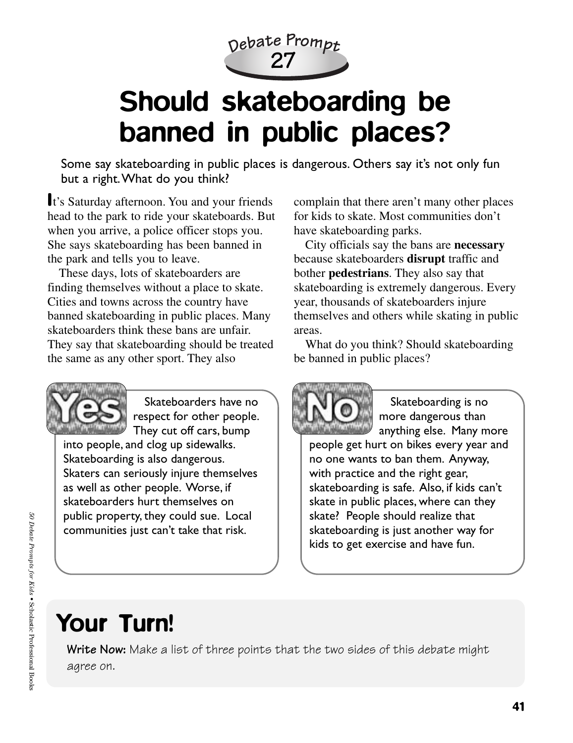

#### Should skateboarding be banned in public places?

Some say skateboarding in public places is dangerous. Others say it's not only fun but a right.What do you think?

t's Saturday afternoon. You and your friends I head to the park to ride your skateboards. But when you arrive, a police officer stops you. She says skateboarding has been banned in the park and tells you to leave.

These days, lots of skateboarders are finding themselves without a place to skate. Cities and towns across the country have banned skateboarding in public places. Many skateboarders think these bans are unfair. They say that skateboarding should be treated the same as any other sport. They also



Skateboarders have no respect for other people. They cut off cars, bump

into people, and clog up sidewalks. Skateboarding is also dangerous. Skaters can seriously injure themselves as well as other people. Worse, if skateboarders hurt themselves on public property, they could sue. Local communities just can't take that risk.

complain that there aren't many other places for kids to skate. Most communities don't have skateboarding parks.

City officials say the bans are **necessary** because skateboarders **disrupt** traffic and bother **pedestrians**. They also say that skateboarding is extremely dangerous. Every year, thousands of skateboarders injure themselves and others while skating in public areas.

What do you think? Should skateboarding be banned in public places?



Skateboarding is no more dangerous than anything else. Many more people get hurt on bikes every year and no one wants to ban them. Anyway, with practice and the right gear, skateboarding is safe. Also, if kids can't skate in public places, where can they skate? People should realize that skateboarding is just another way for kids to get exercise and have fun.

#### Your Turn!

**Write Now:** Make a list of three points that the two sides of this debate might agree on.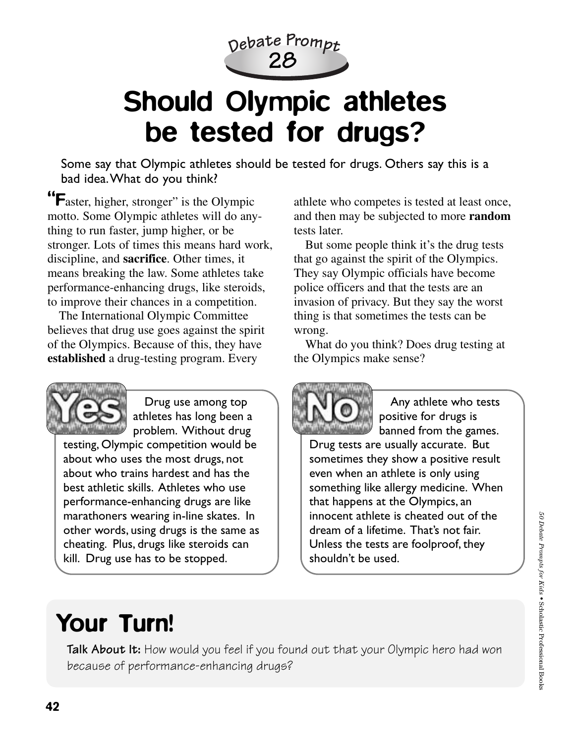

#### Should Olympic athletes be tested for drugs?

Some say that Olympic athletes should be tested for drugs. Others say this is a bad idea.What do you think?

"Faster, higher, stronger" is the Olympic motto. Some Olympic athletes will do anything to run faster, jump higher, or be stronger. Lots of times this means hard work, discipline, and **sacrifice**. Other times, it means breaking the law. Some athletes take performance-enhancing drugs, like steroids, to improve their chances in a competition.

The International Olympic Committee believes that drug use goes against the spirit of the Olympics. Because of this, they have **established** a drug-testing program. Every



Drug use among top athletes has long been a problem. Without drug

testing, Olympic competition would be about who uses the most drugs, not about who trains hardest and has the best athletic skills. Athletes who use performance-enhancing drugs are like marathoners wearing in-line skates. In other words, using drugs is the same as cheating. Plus, drugs like steroids can kill. Drug use has to be stopped.

athlete who competes is tested at least once, and then may be subjected to more **random** tests later.

But some people think it's the drug tests that go against the spirit of the Olympics. They say Olympic officials have become police officers and that the tests are an invasion of privacy. But they say the worst thing is that sometimes the tests can be wrong.

What do you think? Does drug testing at the Olympics make sense?



Any athlete who tests positive for drugs is banned from the games.

Drug tests are usually accurate. But sometimes they show a positive result even when an athlete is only using something like allergy medicine. When that happens at the Olympics, an innocent athlete is cheated out of the dream of a lifetime. That's not fair. Unless the tests are foolproof, they shouldn't be used.

#### Your Turn!

**Talk About It:** How would you feel if you found out that your Olympic hero had won because of performance-enhancing drugs?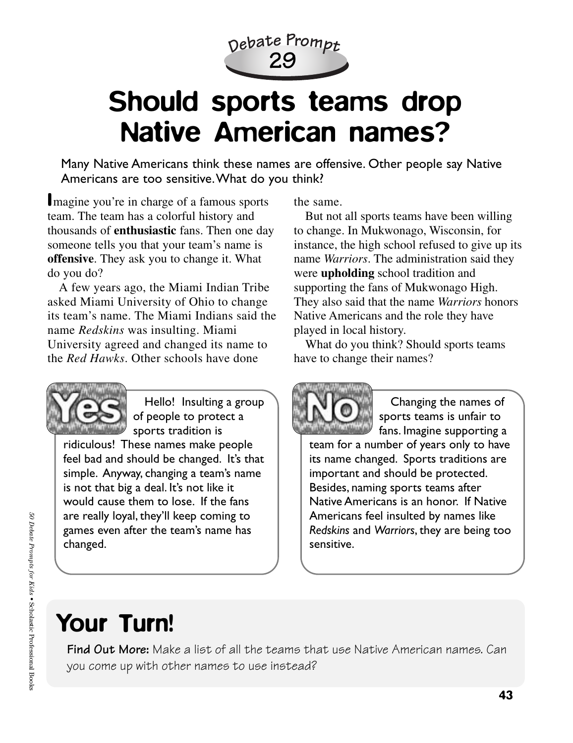

#### Should sports teams drop Native American names?

Many Native Americans think these names are offensive. Other people say Native Americans are too sensitive.What do you think?

magine you're in charge of a famous sports I team. The team has a colorful history and thousands of **enthusiastic** fans. Then one day someone tells you that your team's name is **offensive**. They ask you to change it. What do you do?

A few years ago, the Miami Indian Tribe asked Miami University of Ohio to change its team's name. The Miami Indians said the name *Redskins* was insulting. Miami University agreed and changed its name to the *Red Hawks*. Other schools have done



Hello! Insulting a group of people to protect a sports tradition is

ridiculous! These names make people feel bad and should be changed. It's that simple. Anyway, changing a team's name is not that big a deal. It's not like it would cause them to lose. If the fans are really loyal, they'll keep coming to games even after the team's name has changed.

the same.

But not all sports teams have been willing to change. In Mukwonago, Wisconsin, for instance, the high school refused to give up its name *Warriors*. The administration said they were **upholding** school tradition and supporting the fans of Mukwonago High. They also said that the name *Warriors* honors Native Americans and the role they have played in local history.

What do you think? Should sports teams have to change their names?



Changing the names of sports teams is unfair to fans. Imagine supporting a

team for a number of years only to have its name changed. Sports traditions are important and should be protected. Besides, naming sports teams after Native Americans is an honor. If Native Americans feel insulted by names like *Redskins* and *Warriors*, they are being too sensitive.

#### Your Turn!

**Find Out More:** Make a list of all the teams that use Native American names. Can you come up with other names to use instead?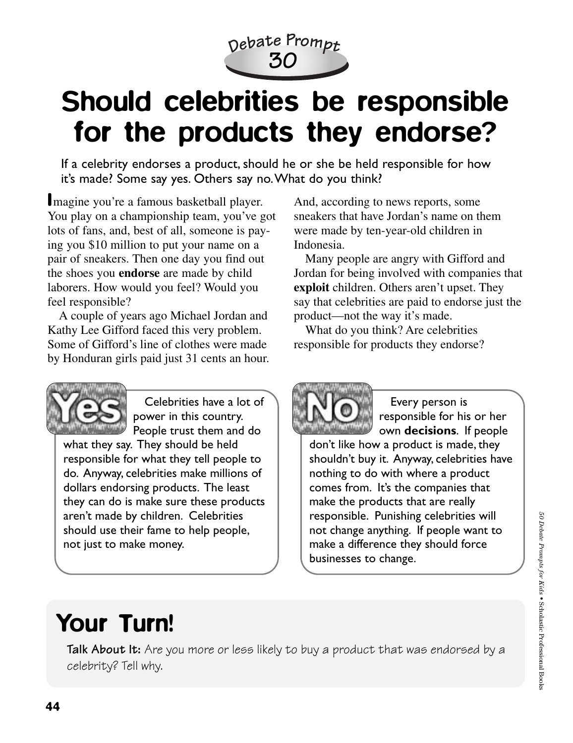

#### Should celebrities be responsible for the products they endorse?

If a celebrity endorses a product, should he or she be held responsible for how it's made? Some say yes. Others say no.What do you think?

magine you're a famous basketball player. I You play on a championship team, you've got lots of fans, and, best of all, someone is paying you \$10 million to put your name on a pair of sneakers. Then one day you find out the shoes you **endorse** are made by child laborers. How would you feel? Would you feel responsible?

A couple of years ago Michael Jordan and Kathy Lee Gifford faced this very problem. Some of Gifford's line of clothes were made by Honduran girls paid just 31 cents an hour.



Celebrities have a lot of power in this country. People trust them and do

what they say. They should be held responsible for what they tell people to do. Anyway, celebrities make millions of dollars endorsing products. The least they can do is make sure these products aren't made by children. Celebrities should use their fame to help people, not just to make money.

And, according to news reports, some sneakers that have Jordan's name on them were made by ten-year-old children in Indonesia.

Many people are angry with Gifford and Jordan for being involved with companies that **exploit** children. Others aren't upset. They say that celebrities are paid to endorse just the product—not the way it's made.

What do you think? Are celebrities responsible for products they endorse?

Every person is responsible for his or her own **decisions**. If people don't like how a product is made, they shouldn't buy it. Anyway, celebrities have nothing to do with where a product comes from. It's the companies that make the products that are really responsible. Punishing celebrities will not change anything. If people want to make a difference they should force businesses to change.

#### Your Turn!

**Talk About It:** Are you more or less likely to buy a product that was endorsed by a celebrity? Tell why.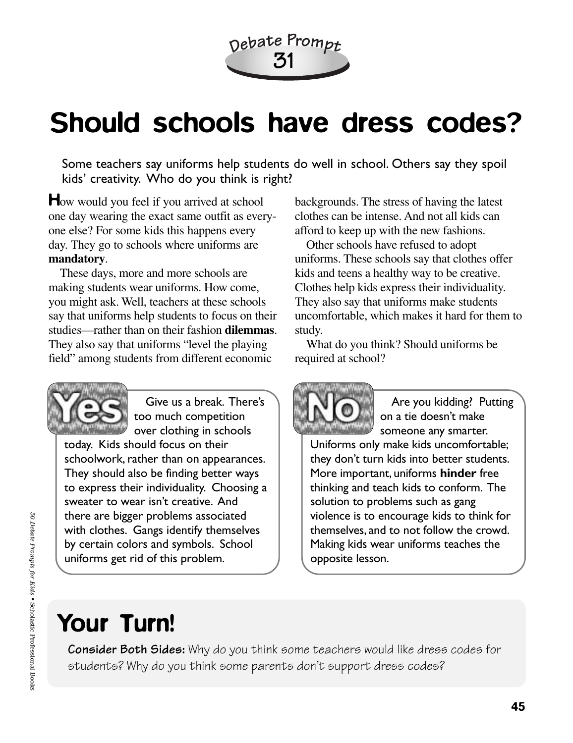**Debate** Prompt **31**

### Should schools have dress codes?

Some teachers say uniforms help students do well in school. Others say they spoil kids' creativity. Who do you think is right?

How would you feel if you arrived at school one day wearing the exact same outfit as everyone else? For some kids this happens every day. They go to schools where uniforms are **mandatory**.

These days, more and more schools are making students wear uniforms. How come, you might ask. Well, teachers at these schools say that uniforms help students to focus on their studies—rather than on their fashion **dilemmas**. They also say that uniforms "level the playing field" among students from different economic



Give us a break. There's too much competition over clothing in schools

today. Kids should focus on their schoolwork, rather than on appearances. They should also be finding better ways to express their individuality. Choosing a sweater to wear isn't creative. And there are bigger problems associated with clothes. Gangs identify themselves by certain colors and symbols. School uniforms get rid of this problem.

backgrounds. The stress of having the latest clothes can be intense. And not all kids can afford to keep up with the new fashions.

Other schools have refused to adopt uniforms. These schools say that clothes offer kids and teens a healthy way to be creative. Clothes help kids express their individuality. They also say that uniforms make students uncomfortable, which makes it hard for them to study.

What do you think? Should uniforms be required at school?



Are you kidding? Putting on a tie doesn't make someone any smarter.

Uniforms only make kids uncomfortable; they don't turn kids into better students. More important, uniforms **hinder** free thinking and teach kids to conform. The solution to problems such as gang violence is to encourage kids to think for themselves, and to not follow the crowd. Making kids wear uniforms teaches the opposite lesson.

#### Your Turn!

**Consider Both Sides:** Why do you think some teachers would like dress codes for students? Why do you think some parents don't support dress codes?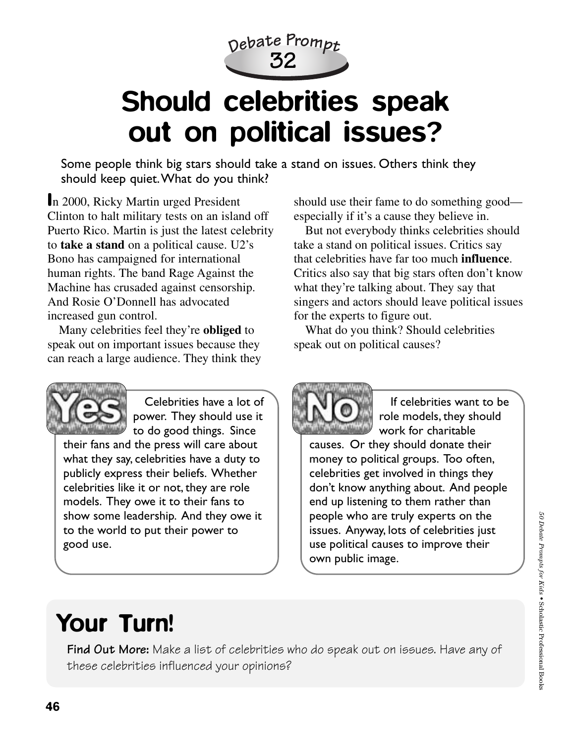

#### Should celebrities speak out on political issues?

Some people think big stars should take a stand on issues. Others think they should keep quiet.What do you think?

n 2000, Ricky Martin urged President I Clinton to halt military tests on an island off Puerto Rico. Martin is just the latest celebrity to **take a stand** on a political cause. U2's Bono has campaigned for international human rights. The band Rage Against the Machine has crusaded against censorship. And Rosie O'Donnell has advocated increased gun control.

Many celebrities feel they're **obliged** to speak out on important issues because they can reach a large audience. They think they



Celebrities have a lot of power. They should use it to do good things. Since

their fans and the press will care about what they say, celebrities have a duty to publicly express their beliefs. Whether celebrities like it or not, they are role models. They owe it to their fans to show some leadership. And they owe it to the world to put their power to good use.

should use their fame to do something good especially if it's a cause they believe in.

But not everybody thinks celebrities should take a stand on political issues. Critics say that celebrities have far too much **influence**. Critics also say that big stars often don't know what they're talking about. They say that singers and actors should leave political issues for the experts to figure out.

What do you think? Should celebrities speak out on political causes?



If celebrities want to be role models, they should work for charitable causes. Or they should donate their money to political groups. Too often, celebrities get involved in things they don't know anything about. And people end up listening to them rather than people who are truly experts on the issues. Anyway, lots of celebrities just

use political causes to improve their

own public image.

#### Your Turn!

**Find Out More:** Make a list of celebrities who do speak out on issues. Have any of these celebrities influenced your opinions?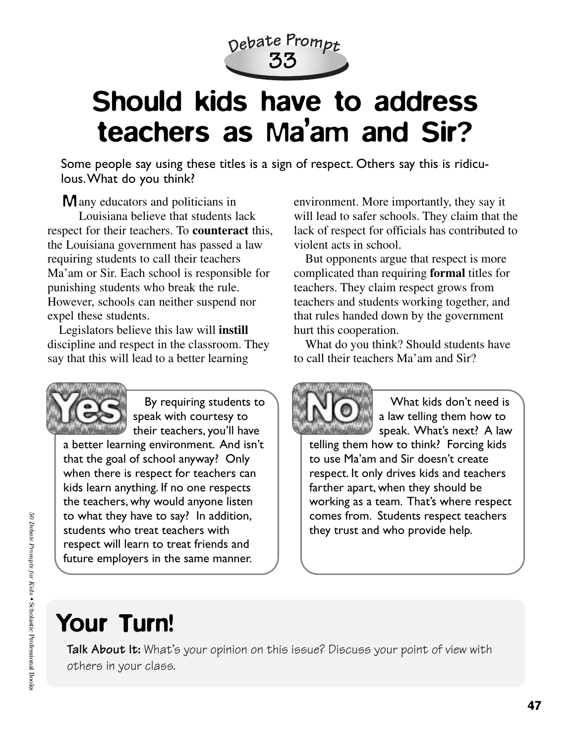

#### Should kids have to address teachers as Ma'am and Sir?

Some people say using these titles is a sign of respect. Others say this is ridiculous.What do you think?

M any educators and politicians in Louisiana believe that students lack respect for their teachers. To **counteract** this, the Louisiana government has passed a law requiring students to call their teachers Ma'am or Sir. Each school is responsible for punishing students who break the rule. However, schools can neither suspend nor expel these students.

Legislators believe this law will **instill** discipline and respect in the classroom. They say that this will lead to a better learning



By requiring students to speak with courtesy to their teachers, you'll have

a better learning environment. And isn't that the goal of school anyway? Only when there is respect for teachers can kids learn anything. If no one respects the teachers, why would anyone listen to what they have to say? In addition, students who treat teachers with respect will learn to treat friends and future employers in the same manner.

environment. More importantly, they say it will lead to safer schools. They claim that the lack of respect for officials has contributed to violent acts in school.

But opponents argue that respect is more complicated than requiring **formal** titles for teachers. They claim respect grows from teachers and students working together, and that rules handed down by the government hurt this cooperation.

What do you think? Should students have to call their teachers Ma'am and Sir?

What kids don't need is a law telling them how to speak. What's next? A law telling them how to think? Forcing kids to use Ma'am and Sir doesn't create respect. It only drives kids and teachers farther apart, when they should be working as a team. That's where respect comes from. Students respect teachers they trust and who provide help.

#### Your Turn!

Talk About It: What's your opinion on this issue? Discuss your point of view with others in your class.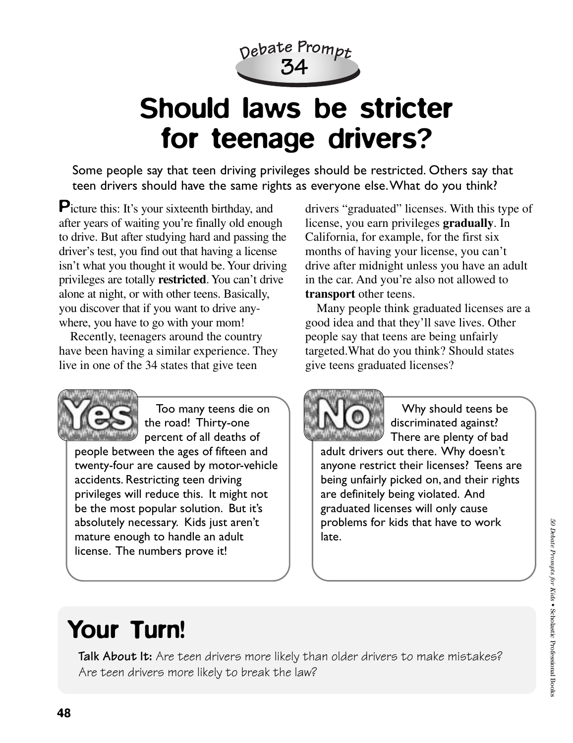

#### Should laws be stricter for teenage drivers?

Some people say that teen driving privileges should be restricted. Others say that teen drivers should have the same rights as everyone else.What do you think?

Picture this: It's your sixteenth birthday, and after years of waiting you're finally old enough to drive. But after studying hard and passing the driver's test, you find out that having a license isn't what you thought it would be. Your driving privileges are totally **restricted**. You can't drive alone at night, or with other teens. Basically, you discover that if you want to drive anywhere, you have to go with your mom!

Recently, teenagers around the country have been having a similar experience. They live in one of the 34 states that give teen



Too many teens die on the road! Thirty-one percent of all deaths of

people between the ages of fifteen and twenty-four are caused by motor-vehicle accidents. Restricting teen driving privileges will reduce this. It might not be the most popular solution. But it's absolutely necessary. Kids just aren't mature enough to handle an adult license. The numbers prove it!

drivers "graduated" licenses. With this type of license, you earn privileges **gradually**. In California, for example, for the first six months of having your license, you can't drive after midnight unless you have an adult in the car. And you're also not allowed to **transport** other teens.

Many people think graduated licenses are a good idea and that they'll save lives. Other people say that teens are being unfairly targeted.What do you think? Should states give teens graduated licenses?



Why should teens be discriminated against? There are plenty of bad

adult drivers out there. Why doesn't anyone restrict their licenses? Teens are being unfairly picked on, and their rights are definitely being violated. And graduated licenses will only cause problems for kids that have to work late.

#### Your Turn!

Talk About It: Are teen drivers more likely than older drivers to make mistakes? Are teen drivers more likely to break the law?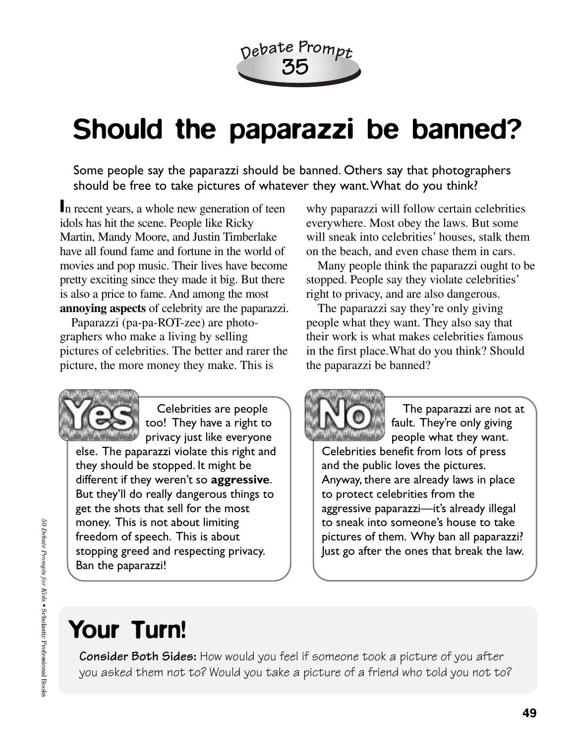

#### Should the paparazzi be banned?

Some people say the paparazzi should be banned. Others say that photographers should be free to take pictures of whatever they want.What do you think?

n recent years, a whole new generation of teen I idols has hit the scene. People like Ricky Martin, Mandy Moore, and Justin Timberlake have all found fame and fortune in the world of movies and pop music. Their lives have become pretty exciting since they made it big. But there is also a price to fame. And among the most **annoying aspects** of celebrity are the paparazzi.

Paparazzi (pa-pa-ROT-zee) are photographers who make a living by selling pictures of celebrities. The better and rarer the picture, the more money they make. This is



Celebrities are people too! They have a right to privacy just like everyone

else. The paparazzi violate this right and they should be stopped. It might be different if they weren't so **aggressive**. But they'll do really dangerous things to get the shots that sell for the most money. This is not about limiting freedom of speech. This is about stopping greed and respecting privacy. Ban the paparazzi!

why paparazzi will follow certain celebrities everywhere. Most obey the laws. But some will sneak into celebrities' houses, stalk them on the beach, and even chase them in cars.

Many people think the paparazzi ought to be stopped. People say they violate celebrities' right to privacy, and are also dangerous.

The paparazzi say they're only giving people what they want. They also say that their work is what makes celebrities famous in the first place.What do you think? Should the paparazzi be banned?



The paparazzi are not at fault. They're only giving people what they want.

Celebrities benefit from lots of press and the public loves the pictures. Anyway, there are already laws in place to protect celebrities from the aggressive paparazzi—it's already illegal to sneak into someone's house to take pictures of them. Why ban all paparazzi? Just go after the ones that break the law.

#### Your Turn!

**Consider Both Sides:** How would you feel if someone took a picture of you after you asked them not to? Would you take a picture of a friend who told you not to?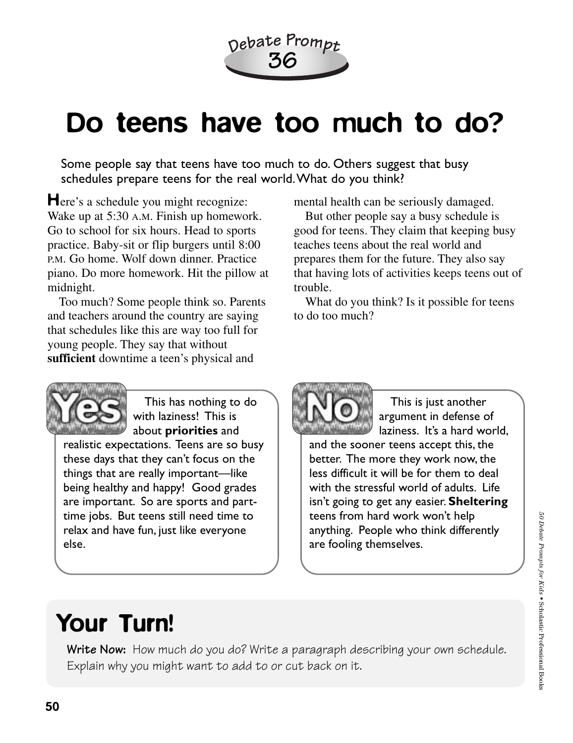

#### Do teens have too much to do?

Some people say that teens have too much to do. Others suggest that busy schedules prepare teens for the real world.What do you think?

Here's a schedule you might recognize: Wake up at 5:30 A.M. Finish up homework. Go to school for six hours. Head to sports practice. Baby-sit or flip burgers until 8:00 P.M. Go home. Wolf down dinner. Practice piano. Do more homework. Hit the pillow at midnight.

Too much? Some people think so. Parents and teachers around the country are saying that schedules like this are way too full for young people. They say that without **sufficient** downtime a teen's physical and



This has nothing to do with laziness! This is about **priorities** and

realistic expectations. Teens are so busy these days that they can't focus on the things that are really important—like being healthy and happy! Good grades are important. So are sports and parttime jobs. But teens still need time to relax and have fun, just like everyone else.

mental health can be seriously damaged.

But other people say a busy schedule is good for teens. They claim that keeping busy teaches teens about the real world and prepares them for the future. They also say that having lots of activities keeps teens out of trouble.

What do you think? Is it possible for teens to do too much?



This is just another argument in defense of laziness. It's a hard world,

and the sooner teens accept this, the better. The more they work now, the less difficult it will be for them to deal with the stressful world of adults. Life isn't going to get any easier. **Sheltering** teens from hard work won't help anything. People who think differently are fooling themselves.

#### Your Turn!

**Write Now:** How much do you do? Write a paragraph describing your own schedule. Explain why you might want to add to or cut back on it.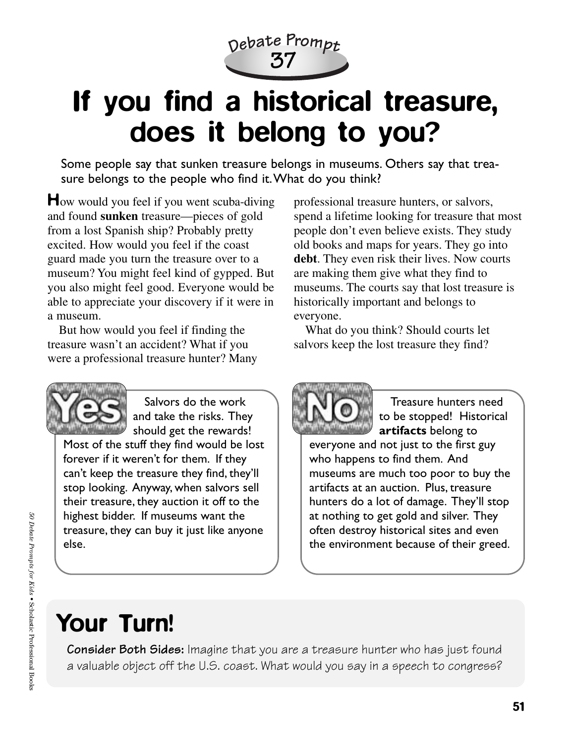

#### If you find a historical treasure, does it belong to you?

Some people say that sunken treasure belongs in museums. Others say that treasure belongs to the people who find it.What do you think?

 $\mathsf{H}_{\text{ow}}$  would you feel if you went scuba-diving and found **sunken** treasure—pieces of gold from a lost Spanish ship? Probably pretty excited. How would you feel if the coast guard made you turn the treasure over to a museum? You might feel kind of gypped. But you also might feel good. Everyone would be able to appreciate your discovery if it were in a museum.

But how would you feel if finding the treasure wasn't an accident? What if you were a professional treasure hunter? Many



Salvors do the work and take the risks. They should get the rewards!

Most of the stuff they find would be lost forever if it weren't for them. If they can't keep the treasure they find, they'll stop looking. Anyway, when salvors sell their treasure, they auction it off to the highest bidder. If museums want the treasure, they can buy it just like anyone else.

professional treasure hunters, or salvors, spend a lifetime looking for treasure that most people don't even believe exists. They study old books and maps for years. They go into **debt**. They even risk their lives. Now courts are making them give what they find to museums. The courts say that lost treasure is historically important and belongs to everyone.

What do you think? Should courts let salvors keep the lost treasure they find?



Treasure hunters need to be stopped! Historical **artifacts** belong to everyone and not just to the first guy who happens to find them. And museums are much too poor to buy the artifacts at an auction. Plus, treasure hunters do a lot of damage. They'll stop at nothing to get gold and silver. They often destroy historical sites and even the environment because of their greed.

#### Your Turn!

**Consider Both Sides:** Imagine that you are a treasure hunter who has just found a valuable object off the U.S. coast. What would you say in a speech to congress?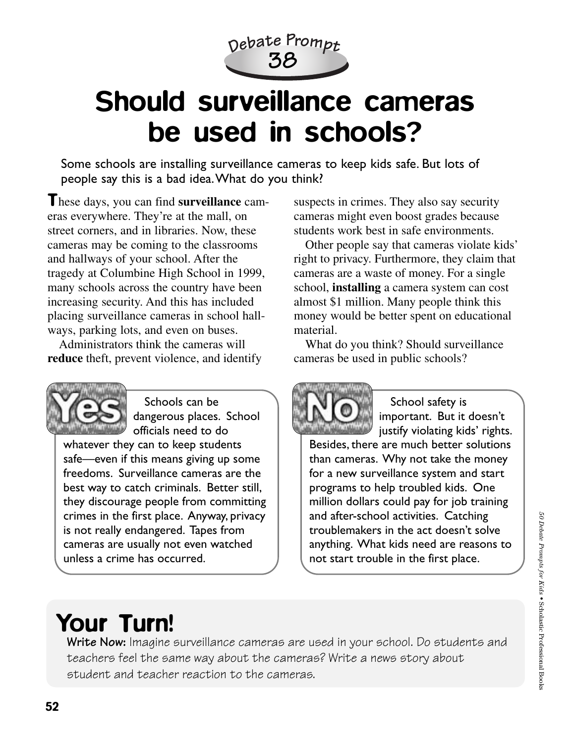

#### Should surveillance cameras be used in schools?

Some schools are installing surveillance cameras to keep kids safe. But lots of people say this is a bad idea.What do you think?

hese days, you can find **surveillance** cam-T eras everywhere. They're at the mall, on street corners, and in libraries. Now, these cameras may be coming to the classrooms and hallways of your school. After the tragedy at Columbine High School in 1999, many schools across the country have been increasing security. And this has included placing surveillance cameras in school hallways, parking lots, and even on buses.

Administrators think the cameras will **reduce** theft, prevent violence, and identify



Schools can be dangerous places. School officials need to do

whatever they can to keep students safe—even if this means giving up some freedoms. Surveillance cameras are the best way to catch criminals. Better still, they discourage people from committing crimes in the first place. Anyway, privacy is not really endangered. Tapes from cameras are usually not even watched unless a crime has occurred.

suspects in crimes. They also say security cameras might even boost grades because students work best in safe environments.

Other people say that cameras violate kids' right to privacy. Furthermore, they claim that cameras are a waste of money. For a single school, **installing** a camera system can cost almost \$1 million. Many people think this money would be better spent on educational material.

What do you think? Should surveillance cameras be used in public schools?



School safety is important. But it doesn't justify violating kids' rights.

Besides, there are much better solutions than cameras. Why not take the money for a new surveillance system and start programs to help troubled kids. One million dollars could pay for job training and after-school activities. Catching troublemakers in the act doesn't solve anything. What kids need are reasons to not start trouble in the first place.

#### Your Turn!

**Write Now:** Imagine surveillance cameras are used in your school. Do students and teachers feel the same way about the cameras? Write a news story about student and teacher reaction to the cameras.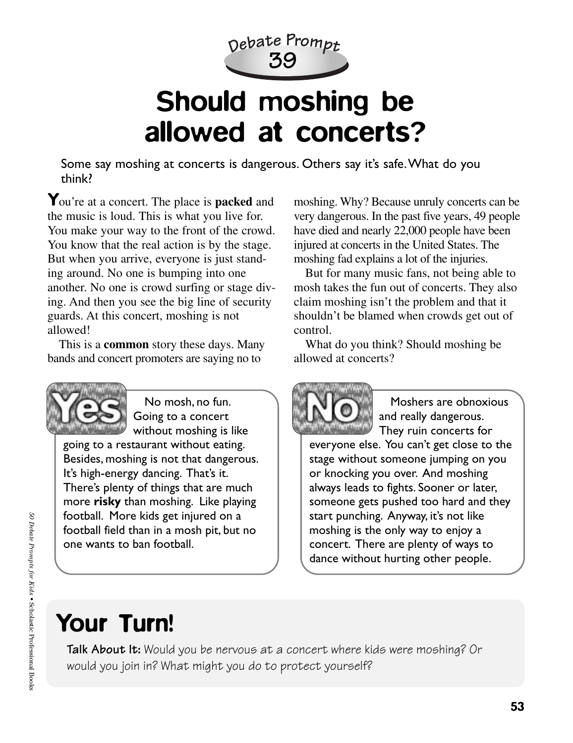

#### Should moshing be allowed at concerts?

Some say moshing at concerts is dangerous. Others say it's safe.What do you think?

You're at a concert. The place is **packed** and the music is loud. This is what you live for. You make your way to the front of the crowd. You know that the real action is by the stage. But when you arrive, everyone is just standing around. No one is bumping into one another. No one is crowd surfing or stage diving. And then you see the big line of security guards. At this concert, moshing is not allowed!

This is a **common** story these days. Many bands and concert promoters are saying no to



No mosh, no fun. Going to a concert without moshing is like

going to a restaurant without eating. Besides, moshing is not that dangerous. It's high-energy dancing. That's it. There's plenty of things that are much more **risky** than moshing. Like playing football. More kids get injured on a football field than in a mosh pit, but no one wants to ban football.

moshing. Why? Because unruly concerts can be very dangerous. In the past five years, 49 people have died and nearly 22,000 people have been injured at concerts in the United States. The moshing fad explains a lot of the injuries.

But for many music fans, not being able to mosh takes the fun out of concerts. They also claim moshing isn't the problem and that it shouldn't be blamed when crowds get out of control.

What do you think? Should moshing be allowed at concerts?



Moshers are obnoxious and really dangerous.

They ruin concerts for everyone else. You can't get close to the stage without someone jumping on you or knocking you over. And moshing always leads to fights. Sooner or later, someone gets pushed too hard and they start punching. Anyway, it's not like moshing is the only way to enjoy a concert. There are plenty of ways to dance without hurting other people.

#### Your Turn!

**Talk About It:** Would you be nervous at a concert where kids were moshing? Or would you join in? What might you do to protect yourself?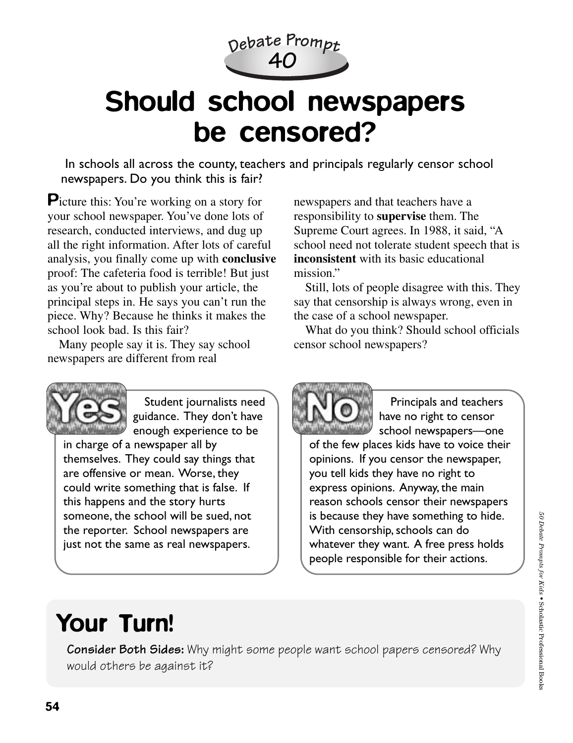

#### Should school newspapers be censored?

In schools all across the county, teachers and principals regularly censor school newspapers. Do you think this is fair?

Picture this: You're working on a story for your school newspaper. You've done lots of research, conducted interviews, and dug up all the right information. After lots of careful analysis, you finally come up with **conclusive** proof: The cafeteria food is terrible! But just as you're about to publish your article, the principal steps in. He says you can't run the piece. Why? Because he thinks it makes the school look bad. Is this fair?

Many people say it is. They say school newspapers are different from real



Student journalists need guidance. They don't have enough experience to be

in charge of a newspaper all by themselves. They could say things that are offensive or mean. Worse, they could write something that is false. If this happens and the story hurts someone, the school will be sued, not the reporter. School newspapers are just not the same as real newspapers.

newspapers and that teachers have a responsibility to **supervise** them. The Supreme Court agrees. In 1988, it said, "A school need not tolerate student speech that is **inconsistent** with its basic educational mission."

Still, lots of people disagree with this. They say that censorship is always wrong, even in the case of a school newspaper.

What do you think? Should school officials censor school newspapers?



Principals and teachers have no right to censor school newspapers—one of the few places kids have to voice their opinions. If you censor the newspaper, you tell kids they have no right to express opinions. Anyway, the main reason schools censor their newspapers is because they have something to hide. With censorship, schools can do whatever they want. A free press holds people responsible for their actions.

#### Your Turn!

**Consider Both Sides:** Why might some people want school papers censored? Why would others be against it?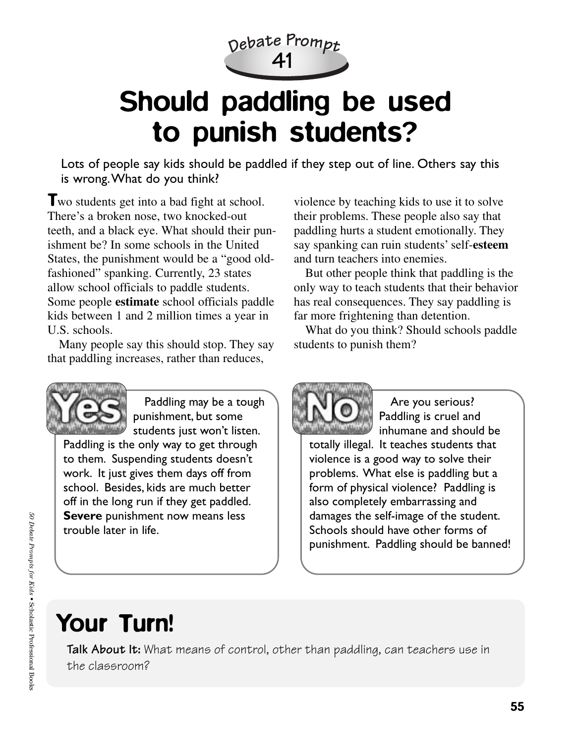

#### Should paddling be used to punish students?

Lots of people say kids should be paddled if they step out of line. Others say this is wrong.What do you think?

Two students get into a bad fight at school. There's a broken nose, two knocked-out teeth, and a black eye. What should their punishment be? In some schools in the United States, the punishment would be a "good oldfashioned" spanking. Currently, 23 states allow school officials to paddle students. Some people **estimate** school officials paddle kids between 1 and 2 million times a year in U.S. schools.

Many people say this should stop. They say that paddling increases, rather than reduces,



Paddling may be a tough punishment, but some students just won't listen.

Paddling is the only way to get through to them. Suspending students doesn't work. It just gives them days off from school. Besides, kids are much better off in the long run if they get paddled. **Severe** punishment now means less trouble later in life.

violence by teaching kids to use it to solve their problems. These people also say that paddling hurts a student emotionally. They say spanking can ruin students' self-**esteem** and turn teachers into enemies.

But other people think that paddling is the only way to teach students that their behavior has real consequences. They say paddling is far more frightening than detention.

What do you think? Should schools paddle students to punish them?



Are you serious? Paddling is cruel and inhumane and should be totally illegal. It teaches students that violence is a good way to solve their

problems. What else is paddling but a form of physical violence? Paddling is also completely embarrassing and damages the self-image of the student. Schools should have other forms of punishment. Paddling should be banned!

#### Your Turn!

**Talk About It:** What means of control, other than paddling, can teachers use in the classroom?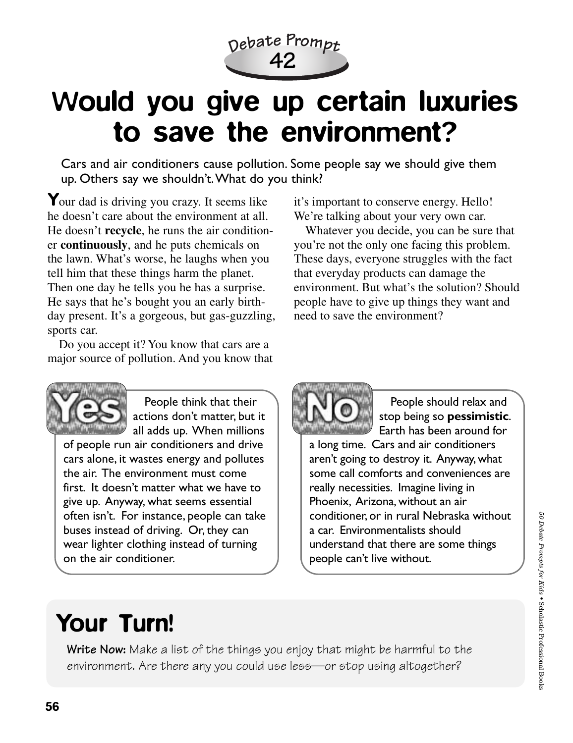

#### Would you give up certain luxuries to save the environment?

Cars and air conditioners cause pollution. Some people say we should give them up. Others say we shouldn't.What do you think?

Your dad is driving you crazy. It seems like he doesn't care about the environment at all. He doesn't **recycle**, he runs the air conditioner **continuously**, and he puts chemicals on the lawn. What's worse, he laughs when you tell him that these things harm the planet. Then one day he tells you he has a surprise. He says that he's bought you an early birthday present. It's a gorgeous, but gas-guzzling, sports car.

Do you accept it? You know that cars are a major source of pollution. And you know that



People think that their actions don't matter, but it all adds up. When millions

of people run air conditioners and drive cars alone, it wastes energy and pollutes the air. The environment must come first. It doesn't matter what we have to give up. Anyway, what seems essential often isn't. For instance, people can take buses instead of driving. Or, they can wear lighter clothing instead of turning on the air conditioner.

it's important to conserve energy. Hello! We're talking about your very own car.

Whatever you decide, you can be sure that you're not the only one facing this problem. These days, everyone struggles with the fact that everyday products can damage the environment. But what's the solution? Should people have to give up things they want and need to save the environment?



People should relax and stop being so **pessimistic**. Earth has been around for

a long time. Cars and air conditioners aren't going to destroy it. Anyway, what some call comforts and conveniences are really necessities. Imagine living in Phoenix, Arizona, without an air conditioner, or in rural Nebraska without a car. Environmentalists should understand that there are some things people can't live without.

#### Your Turn!

**Write Now:** Make a list of the things you enjoy that might be harmful to the environment. Are there any you could use less—or stop using altogether?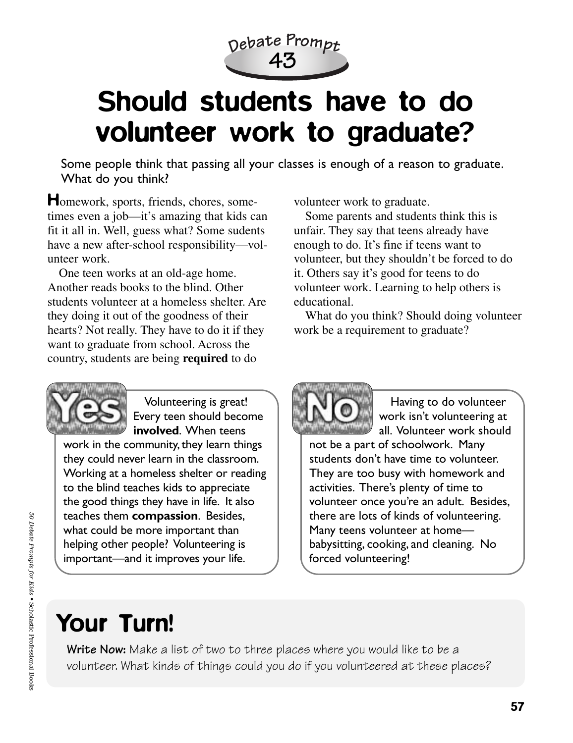

#### Should students have to do volunteer work to graduate?

Some people think that passing all your classes is enough of a reason to graduate. What do you think?

Homework, sports, friends, chores, sometimes even a job—it's amazing that kids can fit it all in. Well, guess what? Some sudents have a new after-school responsibility—volunteer work.

One teen works at an old-age home. Another reads books to the blind. Other students volunteer at a homeless shelter. Are they doing it out of the goodness of their hearts? Not really. They have to do it if they want to graduate from school. Across the country, students are being **required** to do



Volunteering is great! Every teen should become **involved**. When teens

work in the community, they learn things they could never learn in the classroom. Working at a homeless shelter or reading to the blind teaches kids to appreciate the good things they have in life. It also teaches them **compassion**. Besides, what could be more important than helping other people? Volunteering is important—and it improves your life.

volunteer work to graduate.

Some parents and students think this is unfair. They say that teens already have enough to do. It's fine if teens want to volunteer, but they shouldn't be forced to do it. Others say it's good for teens to do volunteer work. Learning to help others is educational.

What do you think? Should doing volunteer work be a requirement to graduate?



Having to do volunteer work isn't volunteering at all. Volunteer work should not be a part of schoolwork. Many students don't have time to volunteer. They are too busy with homework and activities. There's plenty of time to volunteer once you're an adult. Besides, there are lots of kinds of volunteering. Many teens volunteer at home babysitting, cooking, and cleaning. No forced volunteering!

#### Your Turn!

**Write Now:** Make a list of two to three places where you would like to be a volunteer. What kinds of things could you do if you volunteered at these places?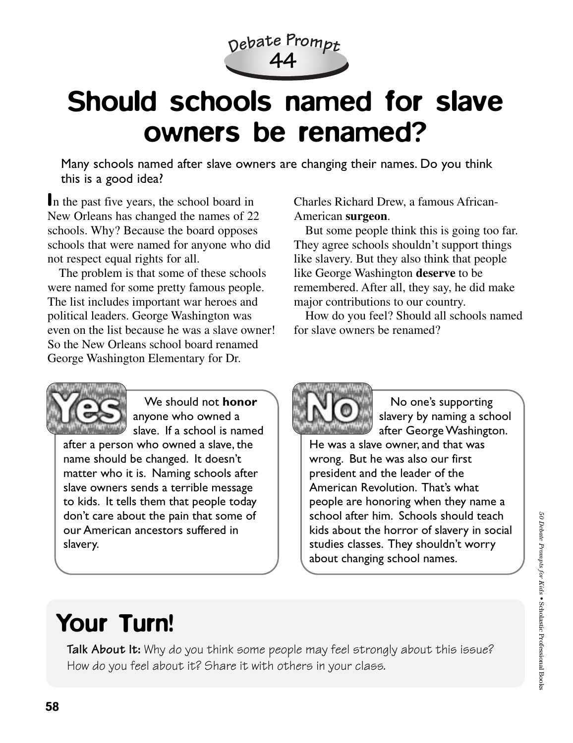

#### Should schools named for slave owners be renamed?

Many schools named after slave owners are changing their names. Do you think this is a good idea?

n the past five years, the school board in I New Orleans has changed the names of 22 schools. Why? Because the board opposes schools that were named for anyone who did not respect equal rights for all.

The problem is that some of these schools were named for some pretty famous people. The list includes important war heroes and political leaders. George Washington was even on the list because he was a slave owner! So the New Orleans school board renamed George Washington Elementary for Dr.



We should not **honor** anyone who owned a slave. If a school is named

after a person who owned a slave, the name should be changed. It doesn't matter who it is. Naming schools after slave owners sends a terrible message to kids. It tells them that people today don't care about the pain that some of our American ancestors suffered in slavery.

Charles Richard Drew, a famous African-American **surgeon**.

But some people think this is going too far. They agree schools shouldn't support things like slavery. But they also think that people like George Washington **deserve** to be remembered. After all, they say, he did make major contributions to our country.

How do you feel? Should all schools named for slave owners be renamed?



No one's supporting slavery by naming a school after George Washington.

He was a slave owner, and that was wrong. But he was also our first president and the leader of the American Revolution. That's what people are honoring when they name a school after him. Schools should teach kids about the horror of slavery in social studies classes. They shouldn't worry about changing school names.

#### Your Turn!

Talk About It: Why do you think some people may feel strongly about this issue? How do you feel about it? Share it with others in your class.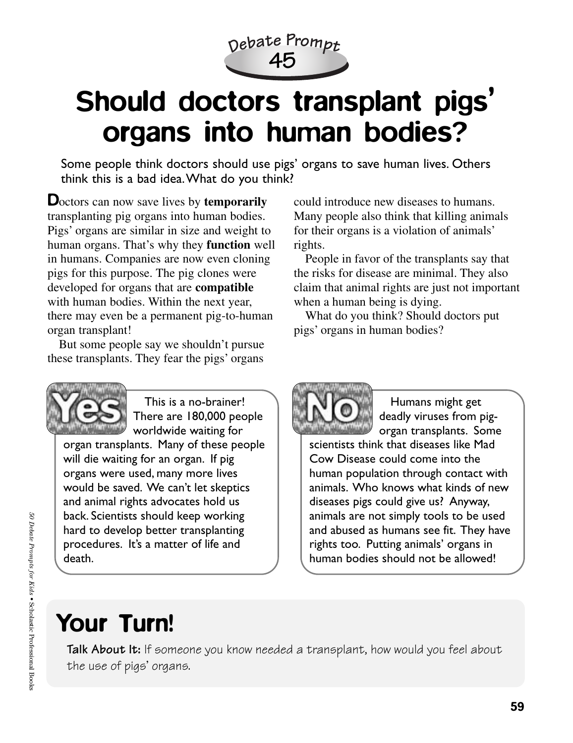

#### Should doctors transplant pigs' organs into human bodies?

Some people think doctors should use pigs' organs to save human lives. Others think this is a bad idea.What do you think?

Doctors can now save lives by **temporarily** transplanting pig organs into human bodies. Pigs' organs are similar in size and weight to human organs. That's why they **function** well in humans. Companies are now even cloning pigs for this purpose. The pig clones were developed for organs that are **compatible** with human bodies. Within the next year, there may even be a permanent pig-to-human organ transplant!

But some people say we shouldn't pursue these transplants. They fear the pigs' organs



This is a no-brainer! There are 180,000 people worldwide waiting for

organ transplants. Many of these people will die waiting for an organ. If pig organs were used, many more lives would be saved. We can't let skeptics and animal rights advocates hold us back. Scientists should keep working hard to develop better transplanting procedures. It's a matter of life and death.

could introduce new diseases to humans. Many people also think that killing animals for their organs is a violation of animals' rights.

People in favor of the transplants say that the risks for disease are minimal. They also claim that animal rights are just not important when a human being is dying.

What do you think? Should doctors put pigs' organs in human bodies?



Humans might get deadly viruses from pigorgan transplants. Some scientists think that diseases like Mad Cow Disease could come into the human population through contact with animals. Who knows what kinds of new diseases pigs could give us? Anyway, animals are not simply tools to be used and abused as humans see fit. They have rights too. Putting animals' organs in human bodies should not be allowed!

#### Your Turn!

Talk About It: If someone you know needed a transplant, how would you feel about the use of pigs' organs.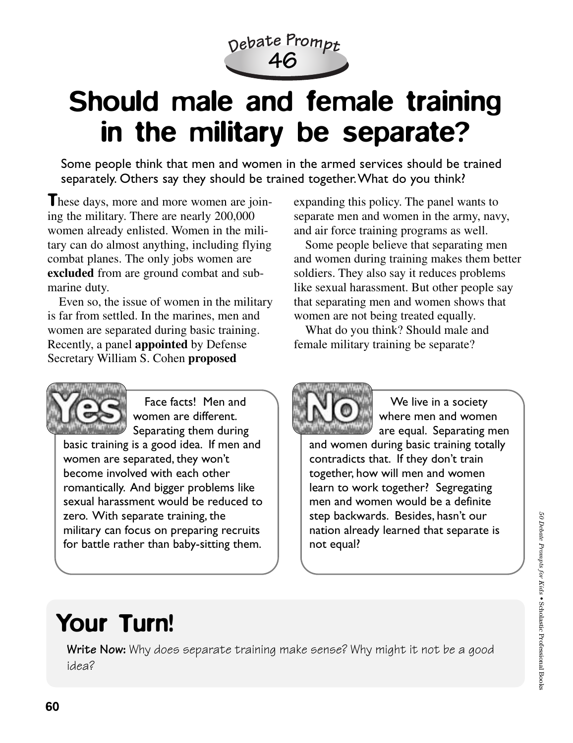

#### Should male and female training in the military be separate?

Some people think that men and women in the armed services should be trained separately. Others say they should be trained together.What do you think?

These days, more and more women are joining the military. There are nearly 200,000 women already enlisted. Women in the military can do almost anything, including flying combat planes. The only jobs women are **excluded** from are ground combat and submarine duty.

Even so, the issue of women in the military is far from settled. In the marines, men and women are separated during basic training. Recently, a panel **appointed** by Defense Secretary William S. Cohen **proposed**



Face facts! Men and women are different. Separating them during

basic training is a good idea. If men and women are separated, they won't become involved with each other romantically. And bigger problems like sexual harassment would be reduced to zero. With separate training, the military can focus on preparing recruits for battle rather than baby-sitting them.

expanding this policy. The panel wants to separate men and women in the army, navy, and air force training programs as well.

Some people believe that separating men and women during training makes them better soldiers. They also say it reduces problems like sexual harassment. But other people say that separating men and women shows that women are not being treated equally.

What do you think? Should male and female military training be separate?



We live in a society where men and women are equal. Separating men

and women during basic training totally contradicts that. If they don't train together, how will men and women learn to work together? Segregating men and women would be a definite step backwards. Besides, hasn't our nation already learned that separate is not equal?

#### Your Turn!

**Write Now:** Why does separate training make sense? Why might it not be a good idea?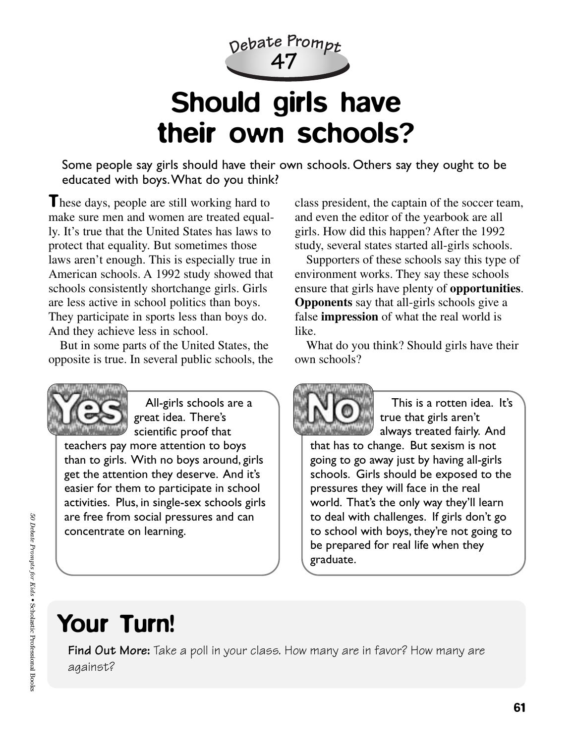**<sup>D</sup>ebat<sup>e</sup> <sup>P</sup>ro<sup>m</sup>p<sup>t</sup> 47**

#### Should girls have their own schools?

Some people say girls should have their own schools. Others say they ought to be educated with boys.What do you think?

These days, people are still working hard to make sure men and women are treated equally. It's true that the United States has laws to protect that equality. But sometimes those laws aren't enough. This is especially true in American schools. A 1992 study showed that schools consistently shortchange girls. Girls are less active in school politics than boys. They participate in sports less than boys do. And they achieve less in school.

But in some parts of the United States, the opposite is true. In several public schools, the



All-girls schools are a great idea. There's scientific proof that

teachers pay more attention to boys than to girls. With no boys around, girls get the attention they deserve. And it's easier for them to participate in school activities. Plus, in single-sex schools girls are free from social pressures and can concentrate on learning.

class president, the captain of the soccer team, and even the editor of the yearbook are all girls. How did this happen? After the 1992 study, several states started all-girls schools.

Supporters of these schools say this type of environment works. They say these schools ensure that girls have plenty of **opportunities**. **Opponents** say that all-girls schools give a false **impression** of what the real world is like.

What do you think? Should girls have their own schools?



This is a rotten idea. It's true that girls aren't always treated fairly. And

that has to change. But sexism is not going to go away just by having all-girls schools. Girls should be exposed to the pressures they will face in the real world. That's the only way they'll learn to deal with challenges. If girls don't go to school with boys, they're not going to be prepared for real life when they graduate.

#### Your Turn!

**Find Out More:** Take a poll in your class. How many are in favor? How many are against?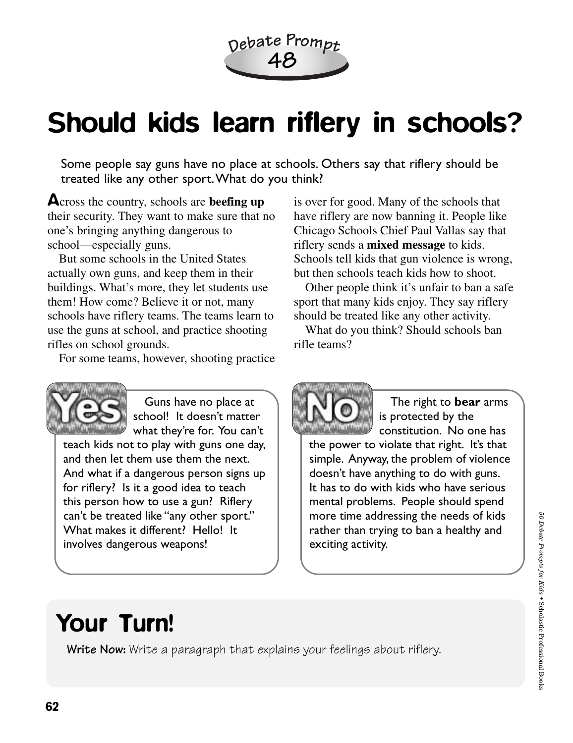

### Should kids learn riflery in schools?

Some people say guns have no place at schools. Others say that riflery should be treated like any other sport.What do you think?

Across the country, schools are **beefing up** their security. They want to make sure that no one's bringing anything dangerous to school—especially guns.

But some schools in the United States actually own guns, and keep them in their buildings. What's more, they let students use them! How come? Believe it or not, many schools have riflery teams. The teams learn to use the guns at school, and practice shooting rifles on school grounds.

For some teams, however, shooting practice



Guns have no place at school! It doesn't matter what they're for. You can't

teach kids not to play with guns one day, and then let them use them the next. And what if a dangerous person signs up for riflery? Is it a good idea to teach this person how to use a gun? Riflery can't be treated like "any other sport." What makes it different? Hello! It involves dangerous weapons!

is over for good. Many of the schools that have riflery are now banning it. People like Chicago Schools Chief Paul Vallas say that riflery sends a **mixed message** to kids. Schools tell kids that gun violence is wrong, but then schools teach kids how to shoot.

Other people think it's unfair to ban a safe sport that many kids enjoy. They say riflery should be treated like any other activity.

What do you think? Should schools ban rifle teams?



The right to **bear** arms is protected by the constitution. No one has

the power to violate that right. It's that simple. Anyway, the problem of violence doesn't have anything to do with guns. It has to do with kids who have serious mental problems. People should spend more time addressing the needs of kids rather than trying to ban a healthy and exciting activity.

#### Your Turn!

**Write Now:** Write a paragraph that explains your feelings about riflery.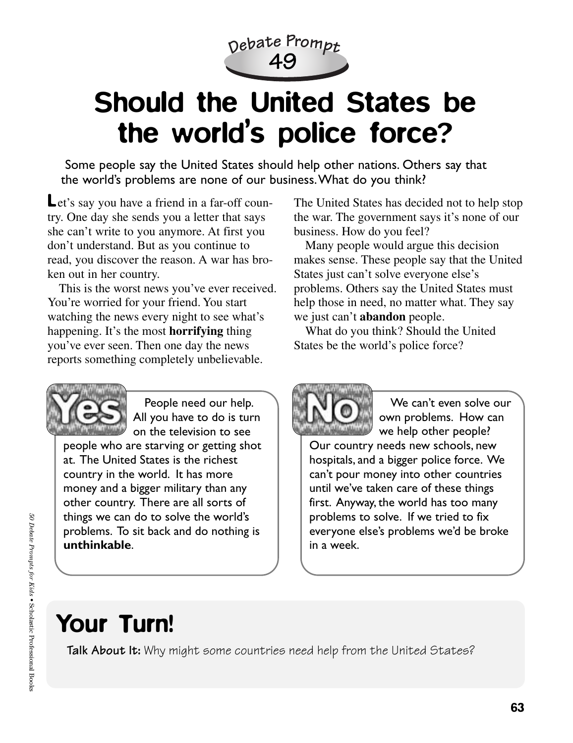

#### Should the United States be the world's police force?

Some people say the United States should help other nations. Others say that the world's problems are none of our business.What do you think?

Let's say you have a friend in a far-off country. One day she sends you a letter that says she can't write to you anymore. At first you don't understand. But as you continue to read, you discover the reason. A war has broken out in her country.

This is the worst news you've ever received. You're worried for your friend. You start watching the news every night to see what's happening. It's the most **horrifying** thing you've ever seen. Then one day the news reports something completely unbelievable.

People need our help. All you have to do is turn on the television to see

people who are starving or getting shot at. The United States is the richest country in the world. It has more money and a bigger military than any other country. There are all sorts of things we can do to solve the world's problems. To sit back and do nothing is **unthinkable**.

The United States has decided not to help stop the war. The government says it's none of our business. How do you feel?

Many people would argue this decision makes sense. These people say that the United States just can't solve everyone else's problems. Others say the United States must help those in need, no matter what. They say we just can't **abandon** people.

What do you think? Should the United States be the world's police force?



We can't even solve our own problems. How can we help other people?

Our country needs new schools, new hospitals, and a bigger police force. We can't pour money into other countries until we've taken care of these things first. Anyway, the world has too many problems to solve. If we tried to fix everyone else's problems we'd be broke in a week.

#### Your Turn!

**Talk About It:** Why might some countries need help from the United States?